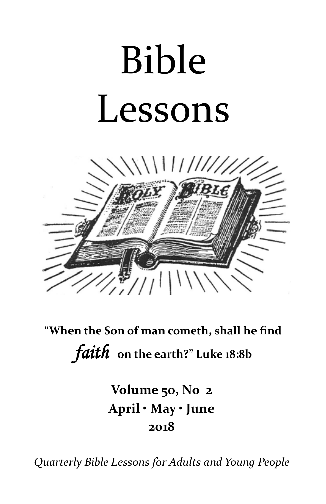# Bible Lessons



**"When the Son of man cometh, shall he find**  *faith* **on the earth?" Luke 18:8b**

> **Volume 50, No 2 April • May • June 2018**

*Quarterly Bible Lessons for Adults and Young People*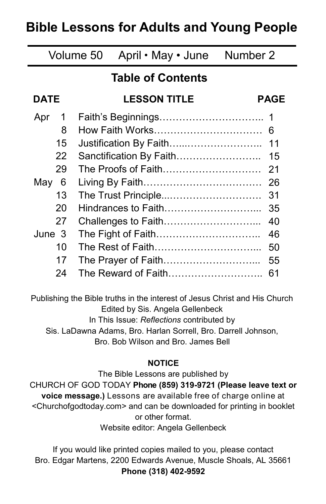# **Bible Lessons for Adults and Young People**

# Volume 50 April • May • June Number 2

# **Table of Contents**

#### **DATE LESSON TITLE PAGE** Apr 1 8 15 22 29 May 6 13 20 27 June 3 10 17 24 Faith's Beginnings………………………….. 1 How Faith Works…………………………… 6 Justification By Faith…...………………….. Sanctification By Faith……………………… The Proofs of Faith………………………… 21 Living By Faith……………………………… 26 The Trust Principle...………………………. 31 Hindrances to Faith………………………... 35 Challenges to Faith………………………... 40 The Fight of Faith………………………….. The Rest of Faith…………………………... 50 The Prayer of Faith…………………………… The Reward of Faith……………………….. 61 11 15 46 55

Publishing the Bible truths in the interest of Jesus Christ and His Church Edited by Sis. Angela Gellenbeck In This Issue: *Reflections* contributed by Sis. LaDawna Adams, Bro. Harlan Sorrell, Bro. Darrell Johnson, Bro. Bob Wilson and Bro. James Bell

# **NOTICE**

The Bible Lessons are published by CHURCH OF GOD TODAY **Phone (859) 319-9721 (Please leave text or voice message.)** Lessons are available free of charge online at <Churchofgodtoday.com> and can be downloaded for printing in booklet or other format. Website editor: Angela Gellenbeck

If you would like printed copies mailed to you, please contact Bro. Edgar Martens, 2200 Edwards Avenue, Muscle Shoals, AL 35661 **Phone (318) 402-9592**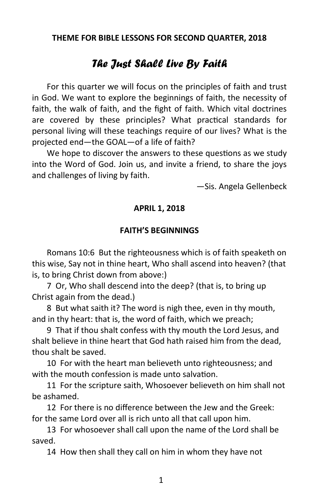**THEME FOR BIBLE LESSONS FOR SECOND QUARTER, 2018**

# *The Just Shall Live By Faith*

For this quarter we will focus on the principles of faith and trust in God. We want to explore the beginnings of faith, the necessity of faith, the walk of faith, and the fight of faith. Which vital doctrines are covered by these principles? What practical standards for personal living will these teachings require of our lives? What is the projected end—the GOAL—of a life of faith?

We hope to discover the answers to these questions as we study into the Word of God. Join us, and invite a friend, to share the joys and challenges of living by faith.

—Sis. Angela Gellenbeck

# **APRIL 1, 2018**

# **FAITH'S BEGINNINGS**

Romans 10:6 But the righteousness which is of faith speaketh on this wise, Say not in thine heart, Who shall ascend into heaven? (that is, to bring Christ down from above:)

7 Or, Who shall descend into the deep? (that is, to bring up Christ again from the dead.)

8 But what saith it? The word is nigh thee, even in thy mouth, and in thy heart: that is, the word of faith, which we preach;

9 That if thou shalt confess with thy mouth the Lord Jesus, and shalt believe in thine heart that God hath raised him from the dead, thou shalt be saved.

10 For with the heart man believeth unto righteousness; and with the mouth confession is made unto salvation.

11 For the scripture saith, Whosoever believeth on him shall not be ashamed.

12 For there is no difference between the Jew and the Greek: for the same Lord over all is rich unto all that call upon him.

13 For whosoever shall call upon the name of the Lord shall be saved.

14 How then shall they call on him in whom they have not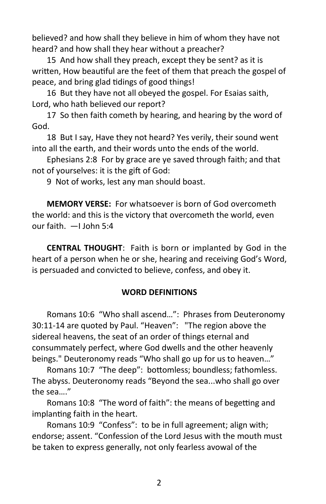believed? and how shall they believe in him of whom they have not heard? and how shall they hear without a preacher?

15 And how shall they preach, except they be sent? as it is written, How beautiful are the feet of them that preach the gospel of peace, and bring glad tidings of good things!

16 But they have not all obeyed the gospel. For Esaias saith, Lord, who hath believed our report?

17 So then faith cometh by hearing, and hearing by the word of God.

18 But I say, Have they not heard? Yes verily, their sound went into all the earth, and their words unto the ends of the world.

Ephesians 2:8 For by grace are ye saved through faith; and that not of yourselves: it is the gift of God:

9 Not of works, lest any man should boast.

**MEMORY VERSE:** For whatsoever is born of God overcometh the world: and this is the victory that overcometh the world, even our faith. —I John 5:4

**CENTRAL THOUGHT**: Faith is born or implanted by God in the heart of a person when he or she, hearing and receiving God's Word, is persuaded and convicted to believe, confess, and obey it.

#### **WORD DEFINITIONS**

Romans 10:6 "Who shall ascend…": Phrases from Deuteronomy 30:11-14 are quoted by Paul. "Heaven": "The region above the sidereal heavens, the seat of an order of things eternal and consummately perfect, where God dwells and the other heavenly beings." Deuteronomy reads "Who shall go up for us to heaven…"

Romans 10:7 "The deep": bottomless; boundless; fathomless. The abyss. Deuteronomy reads "Beyond the sea...who shall go over the sea…."

Romans 10:8 "The word of faith": the means of begetting and implanting faith in the heart.

Romans 10:9 "Confess": to be in full agreement; align with; endorse; assent. "Confession of the Lord Jesus with the mouth must be taken to express generally, not only fearless avowal of the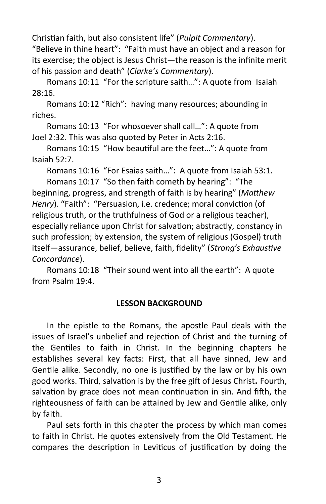Christian faith, but also consistent life" (*Pulpit Commentary*). "Believe in thine heart": "Faith must have an object and a reason for its exercise; the object is Jesus Christ—the reason is the infinite merit of his passion and death" (*Clarke's Commentary*).

Romans 10:11 "For the scripture saith…": A quote from Isaiah 28:16.

Romans 10:12 "Rich": having many resources; abounding in riches.

Romans 10:13 "For whosoever shall call…": A quote from Joel 2:32. This was also quoted by Peter in Acts 2:16.

Romans 10:15 "How beautiful are the feet…": A quote from Isaiah 52:7.

Romans 10:16 "For Esaias saith…": A quote from Isaiah 53:1.

Romans 10:17 "So then faith cometh by hearing": "The beginning, progress, and strength of faith is by hearing" (*Matthew Henry*). "Faith": "Persuasion, i.e. credence; moral conviction (of religious truth, or the truthfulness of God or a religious teacher), especially reliance upon Christ for salvation; abstractly, constancy in such profession; by extension, the system of religious (Gospel) truth itself—assurance, belief, believe, faith, fidelity" (*Strong's Exhaustive Concordance*).

Romans 10:18 "Their sound went into all the earth": A quote from Psalm 19:4.

# **LESSON BACKGROUND**

In the epistle to the Romans, the apostle Paul deals with the issues of Israel's unbelief and rejection of Christ and the turning of the Gentiles to faith in Christ. In the beginning chapters he establishes several key facts: First, that all have sinned, Jew and Gentile alike. Secondly, no one is justified by the law or by his own good works. Third, salvation is by the free gift of Jesus Christ**.** Fourth, salvation by grace does not mean continuation in sin. And fifth, the righteousness of faith can be attained by Jew and Gentile alike, only by faith.

Paul sets forth in this chapter the process by which man comes to faith in Christ. He quotes extensively from the Old Testament. He compares the description in Leviticus of justification by doing the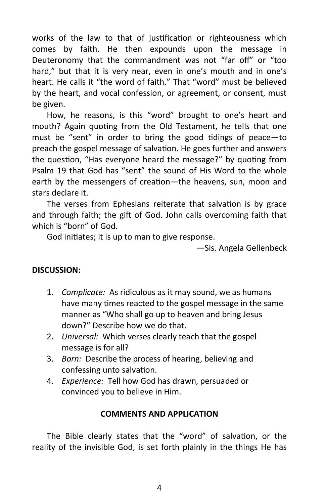works of the law to that of justification or righteousness which comes by faith. He then expounds upon the message in Deuteronomy that the commandment was not "far off" or "too hard," but that it is very near, even in one's mouth and in one's heart. He calls it "the word of faith." That "word" must be believed by the heart, and vocal confession, or agreement, or consent, must be given.

How, he reasons, is this "word" brought to one's heart and mouth? Again quoting from the Old Testament, he tells that one must be "sent" in order to bring the good tidings of peace—to preach the gospel message of salvation. He goes further and answers the question, "Has everyone heard the message?" by quoting from Psalm 19 that God has "sent" the sound of His Word to the whole earth by the messengers of creation—the heavens, sun, moon and stars declare it.

The verses from Ephesians reiterate that salvation is by grace and through faith; the gift of God. John calls overcoming faith that which is "born" of God.

God initiates; it is up to man to give response.

—Sis. Angela Gellenbeck

# **DISCUSSION:**

- 1. *Complicate:* As ridiculous as it may sound, we as humans have many times reacted to the gospel message in the same manner as "Who shall go up to heaven and bring Jesus down?" Describe how we do that.
- 2. *Universal:* Which verses clearly teach that the gospel message is for all?
- 3. *Born:* Describe the process of hearing, believing and confessing unto salvation.
- 4. *Experience:* Tell how God has drawn, persuaded or convinced you to believe in Him.

#### **COMMENTS AND APPLICATION**

The Bible clearly states that the "word" of salvation, or the reality of the invisible God, is set forth plainly in the things He has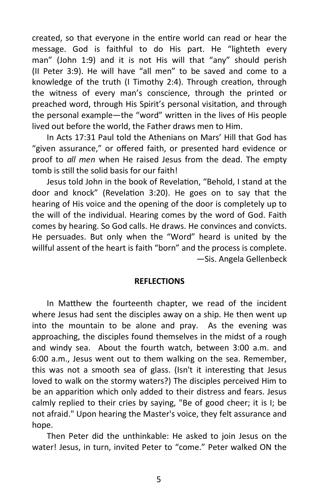created, so that everyone in the entire world can read or hear the message. God is faithful to do His part. He "lighteth every man" (John 1:9) and it is not His will that "any" should perish (II Peter 3:9). He will have "all men" to be saved and come to a knowledge of the truth (I Timothy 2:4). Through creation, through the witness of every man's conscience, through the printed or preached word, through His Spirit's personal visitation, and through the personal example—the "word" written in the lives of His people lived out before the world, the Father draws men to Him.

In Acts 17:31 Paul told the Athenians on Mars' Hill that God has "given assurance," or offered faith, or presented hard evidence or proof to *all men* when He raised Jesus from the dead. The empty tomb is still the solid basis for our faith!

Jesus told John in the book of Revelation, "Behold, I stand at the door and knock" (Revelation 3:20). He goes on to say that the hearing of His voice and the opening of the door is completely up to the will of the individual. Hearing comes by the word of God. Faith comes by hearing. So God calls. He draws. He convinces and convicts. He persuades. But only when the "Word" heard is united by the willful assent of the heart is faith "born" and the process is complete. —Sis. Angela Gellenbeck

#### **REFLECTIONS**

In Matthew the fourteenth chapter, we read of the incident where Jesus had sent the disciples away on a ship. He then went up into the mountain to be alone and pray. As the evening was approaching, the disciples found themselves in the midst of a rough and windy sea. About the fourth watch, between 3:00 a.m. and 6:00 a.m., Jesus went out to them walking on the sea. Remember, this was not a smooth sea of glass. (Isn't it interesting that Jesus loved to walk on the stormy waters?) The disciples perceived Him to be an apparition which only added to their distress and fears. Jesus calmly replied to their cries by saying, "Be of good cheer; it is I; be not afraid." Upon hearing the Master's voice, they felt assurance and hope.

Then Peter did the unthinkable: He asked to join Jesus on the water! Jesus, in turn, invited Peter to "come." Peter walked ON the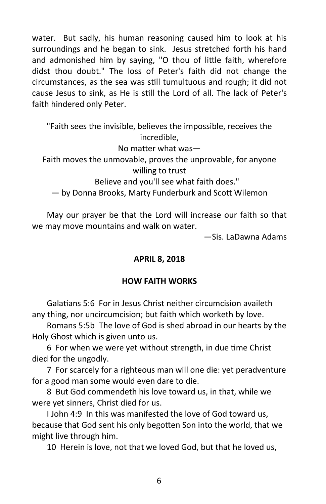water. But sadly, his human reasoning caused him to look at his surroundings and he began to sink. Jesus stretched forth his hand and admonished him by saying, "O thou of little faith, wherefore didst thou doubt." The loss of Peter's faith did not change the circumstances, as the sea was still tumultuous and rough; it did not cause Jesus to sink, as He is still the Lord of all. The lack of Peter's faith hindered only Peter.

"Faith sees the invisible, believes the impossible, receives the incredible, No matter what was— Faith moves the unmovable, proves the unprovable, for anyone willing to trust Believe and you'll see what faith does." — by Donna Brooks, Marty Funderburk and Scott Wilemon

May our prayer be that the Lord will increase our faith so that we may move mountains and walk on water.

—Sis. LaDawna Adams

#### **APRIL 8, 2018**

#### **HOW FAITH WORKS**

Galatians 5:6 For in Jesus Christ neither circumcision availeth any thing, nor uncircumcision; but faith which worketh by love.

Romans 5:5b The love of God is shed abroad in our hearts by the Holy Ghost which is given unto us.

6 For when we were yet without strength, in due time Christ died for the ungodly.

7 For scarcely for a righteous man will one die: yet peradventure for a good man some would even dare to die.

8 But God commendeth his love toward us, in that, while we were yet sinners, Christ died for us.

I John 4:9 In this was manifested the love of God toward us, because that God sent his only begotten Son into the world, that we might live through him.

10 Herein is love, not that we loved God, but that he loved us,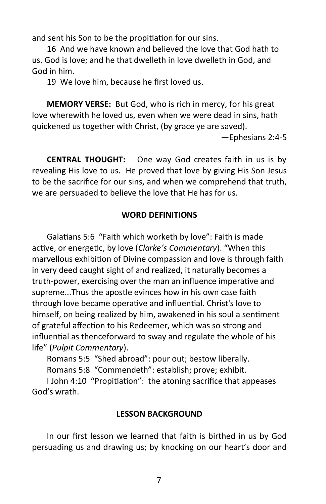and sent his Son to be the propitiation for our sins.

16 And we have known and believed the love that God hath to us. God is love; and he that dwelleth in love dwelleth in God, and God in him.

19 We love him, because he first loved us.

**MEMORY VERSE:** But God, who is rich in mercy, for his great love wherewith he loved us, even when we were dead in sins, hath quickened us together with Christ, (by grace ye are saved).

—Ephesians 2:4-5

**CENTRAL THOUGHT:** One way God creates faith in us is by revealing His love to us. He proved that love by giving His Son Jesus to be the sacrifice for our sins, and when we comprehend that truth, we are persuaded to believe the love that He has for us.

#### **WORD DEFINITIONS**

Galatians 5:6 "Faith which worketh by love": Faith is made active, or energetic, by love (*Clarke's Commentary*). "When this marvellous exhibition of Divine compassion and love is through faith in very deed caught sight of and realized, it naturally becomes a truth-power, exercising over the man an influence imperative and supreme...Thus the apostle evinces how in his own case faith through love became operative and influential. Christ's love to himself, on being realized by him, awakened in his soul a sentiment of grateful affection to his Redeemer, which was so strong and influential as thenceforward to sway and regulate the whole of his life" (*Pulpit Commentary*).

Romans 5:5 "Shed abroad": pour out; bestow liberally. Romans 5:8 "Commendeth": establish; prove; exhibit.

I John 4:10 "Propitiation": the atoning sacrifice that appeases God's wrath.

#### **LESSON BACKGROUND**

In our first lesson we learned that faith is birthed in us by God persuading us and drawing us; by knocking on our heart's door and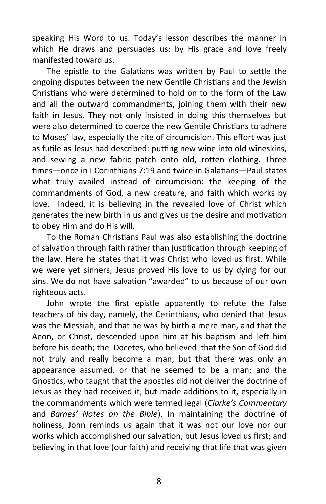speaking His Word to us. Today's lesson describes the manner in which He draws and persuades us: by His grace and love freely manifested toward us.

The epistle to the Galatians was written by Paul to settle the ongoing disputes between the new Gentile Christians and the Jewish Christians who were determined to hold on to the form of the Law and all the outward commandments, joining them with their new faith in Jesus. They not only insisted in doing this themselves but were also determined to coerce the new Gentile Christians to adhere to Moses' law, especially the rite of circumcision. This effort was just as futile as Jesus had described: putting new wine into old wineskins, and sewing a new fabric patch onto old, rotten clothing. Three times—once in I Corinthians 7:19 and twice in Galatians—Paul states what truly availed instead of circumcision: the keeping of the commandments of God, a new creature, and faith which works by love. Indeed, it is believing in the revealed love of Christ which generates the new birth in us and gives us the desire and motivation to obey Him and do His will.

To the Roman Christians Paul was also establishing the doctrine of salvation through faith rather than justification through keeping of the law. Here he states that it was Christ who loved us first. While we were yet sinners, Jesus proved His love to us by dying for our sins. We do not have salvation "awarded" to us because of our own righteous acts.

John wrote the first epistle apparently to refute the false teachers of his day, namely, the Cerinthians, who denied that Jesus was the Messiah, and that he was by birth a mere man, and that the Aeon, or Christ, descended upon him at his baptism and left him before his death; the Docetes, who believed that the Son of God did not truly and really become a man, but that there was only an appearance assumed, or that he seemed to be a man; and the Gnostics, who taught that the apostles did not deliver the doctrine of Jesus as they had received it, but made additions to it, especially in the commandments which were termed legal (*Clarke's Commentary*  and *Barnes' Notes on the Bible*). In maintaining the doctrine of holiness, John reminds us again that it was not our love nor our works which accomplished our salvation, but Jesus loved us first; and believing in that love (our faith) and receiving that life that was given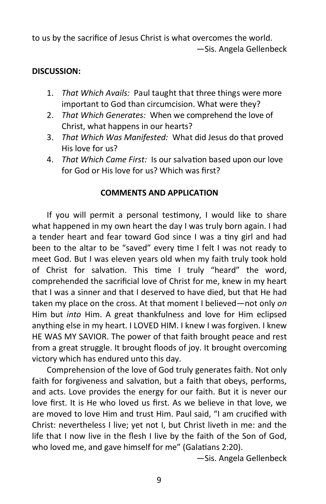to us by the sacrifice of Jesus Christ is what overcomes the world. —Sis. Angela Gellenbeck

# **DISCUSSION:**

- 1. *That Which Avails:* Paul taught that three things were more important to God than circumcision. What were they?
- 2. *That Which Generates:* When we comprehend the love of Christ, what happens in our hearts?
- 3. *That Which Was Manifested:* What did Jesus do that proved His love for us?
- 4. *That Which Came First:* Is our salvation based upon our love for God or His love for us? Which was first?

# **COMMENTS AND APPLICATION**

If you will permit a personal testimony, I would like to share what happened in my own heart the day I was truly born again. I had a tender heart and fear toward God since I was a tiny girl and had been to the altar to be "saved" every time I felt I was not ready to meet God. But I was eleven years old when my faith truly took hold of Christ for salvation. This time I truly "heard" the word, comprehended the sacrificial love of Christ for me, knew in my heart that I was a sinner and that I deserved to have died, but that He had taken my place on the cross. At that moment I believed—not only *on* Him but *into* Him. A great thankfulness and love for Him eclipsed anything else in my heart. I LOVED HIM. I knew I was forgiven. I knew HE WAS MY SAVIOR. The power of that faith brought peace and rest from a great struggle. It brought floods of joy. It brought overcoming victory which has endured unto this day.

Comprehension of the love of God truly generates faith. Not only faith for forgiveness and salvation, but a faith that obeys, performs, and acts. Love provides the energy for our faith. But it is never our love first. It is He who loved us first. As we believe in that love, we are moved to love Him and trust Him. Paul said, "I am crucified with Christ: nevertheless I live; yet not I, but Christ liveth in me: and the life that I now live in the flesh I live by the faith of the Son of God, who loved me, and gave himself for me" (Galatians 2:20).

—Sis. Angela Gellenbeck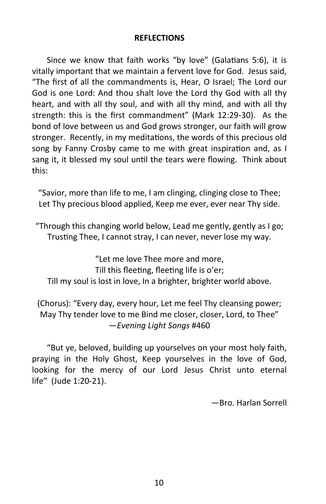#### **REFLECTIONS**

Since we know that faith works "by love" (Galatians 5:6), it is vitally important that we maintain a fervent love for God. Jesus said, "The first of all the commandments is, Hear, O Israel; The Lord our God is one Lord: And thou shalt love the Lord thy God with all thy heart, and with all thy soul, and with all thy mind, and with all thy strength: this is the first commandment" (Mark 12:29-30). As the bond of love between us and God grows stronger, our faith will grow stronger. Recently, in my meditations, the words of this precious old song by Fanny Crosby came to me with great inspiration and, as I sang it, it blessed my soul until the tears were flowing. Think about this:

"Savior, more than life to me, I am clinging, clinging close to Thee; Let Thy precious blood applied, Keep me ever, ever near Thy side.

"Through this changing world below, Lead me gently, gently as I go; Trusting Thee, I cannot stray, I can never, never lose my way.

"Let me love Thee more and more, Till this fleeting, fleeting life is o'er; Till my soul is lost in love, In a brighter, brighter world above.

# (Chorus): "Every day, every hour, Let me feel Thy cleansing power; May Thy tender love to me Bind me closer, closer, Lord, to Thee" —*Evening Light Songs* #460

"But ye, beloved, building up yourselves on your most holy faith, praying in the Holy Ghost, Keep yourselves in the love of God, looking for the mercy of our Lord Jesus Christ unto eternal life" (Jude 1:20-21).

—Bro. Harlan Sorrell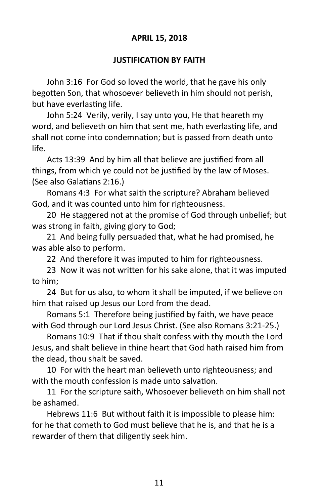# **APRIL 15, 2018**

#### **JUSTIFICATION BY FAITH**

John 3:16 For God so loved the world, that he gave his only begotten Son, that whosoever believeth in him should not perish, but have everlasting life.

John 5:24 Verily, verily, I say unto you, He that heareth my word, and believeth on him that sent me, hath everlasting life, and shall not come into condemnation; but is passed from death unto life.

Acts 13:39 And by him all that believe are justified from all things, from which ye could not be justified by the law of Moses. (See also Galatians 2:16.)

Romans 4:3 For what saith the scripture? Abraham believed God, and it was counted unto him for righteousness.

20 He staggered not at the promise of God through unbelief; but was strong in faith, giving glory to God;

21 And being fully persuaded that, what he had promised, he was able also to perform.

22 And therefore it was imputed to him for righteousness.

23 Now it was not written for his sake alone, that it was imputed to him;

24 But for us also, to whom it shall be imputed, if we believe on him that raised up Jesus our Lord from the dead.

Romans 5:1 Therefore being justified by faith, we have peace with God through our Lord Jesus Christ. (See also Romans 3:21-25.)

Romans 10:9 That if thou shalt confess with thy mouth the Lord Jesus, and shalt believe in thine heart that God hath raised him from the dead, thou shalt be saved.

10 For with the heart man believeth unto righteousness; and with the mouth confession is made unto salvation.

11 For the scripture saith, Whosoever believeth on him shall not be ashamed.

Hebrews 11:6 But without faith it is impossible to please him: for he that cometh to God must believe that he is, and that he is a rewarder of them that diligently seek him.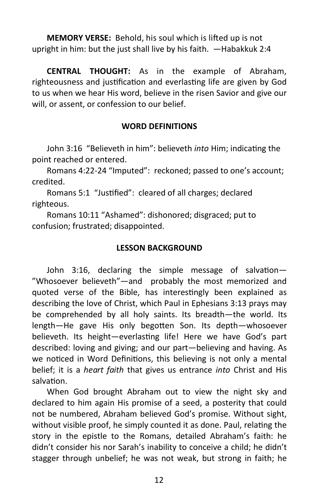**MEMORY VERSE:** Behold, his soul which is lifted up is not upright in him: but the just shall live by his faith. —Habakkuk 2:4

**CENTRAL THOUGHT:** As in the example of Abraham, righteousness and justification and everlasting life are given by God to us when we hear His word, believe in the risen Savior and give our will, or assent, or confession to our belief.

# **WORD DEFINITIONS**

John 3:16 "Believeth in him": believeth *into* Him; indicating the point reached or entered.

Romans 4:22-24 "Imputed": reckoned; passed to one's account; credited.

Romans 5:1 "Justified": cleared of all charges; declared righteous.

Romans 10:11 "Ashamed": dishonored; disgraced; put to confusion; frustrated; disappointed.

## **LESSON BACKGROUND**

John 3:16, declaring the simple message of salvation— "Whosoever believeth"—and probably the most memorized and quoted verse of the Bible, has interestingly been explained as describing the love of Christ, which Paul in Ephesians 3:13 prays may be comprehended by all holy saints. Its breadth—the world. Its length—He gave His only begotten Son. Its depth—whosoever believeth. Its height—everlasting life! Here we have God's part described: loving and giving; and our part—believing and having. As we noticed in Word Definitions, this believing is not only a mental belief; it is a *heart faith* that gives us entrance *into* Christ and His salvation.

When God brought Abraham out to view the night sky and declared to him again His promise of a seed, a posterity that could not be numbered, Abraham believed God's promise. Without sight, without visible proof, he simply counted it as done. Paul, relating the story in the epistle to the Romans, detailed Abraham's faith: he didn't consider his nor Sarah's inability to conceive a child; he didn't stagger through unbelief; he was not weak, but strong in faith; he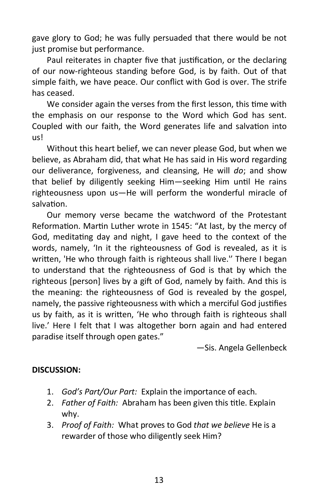gave glory to God; he was fully persuaded that there would be not just promise but performance.

Paul reiterates in chapter five that justification, or the declaring of our now-righteous standing before God, is by faith. Out of that simple faith, we have peace. Our conflict with God is over. The strife has ceased.

We consider again the verses from the first lesson, this time with the emphasis on our response to the Word which God has sent. Coupled with our faith, the Word generates life and salvation into us!

Without this heart belief, we can never please God, but when we believe, as Abraham did, that what He has said in His word regarding our deliverance, forgiveness, and cleansing, He will *do*; and show that belief by diligently seeking Him—seeking Him until He rains righteousness upon us—He will perform the wonderful miracle of salvation.

Our memory verse became the watchword of the Protestant Reformation. Martin Luther wrote in 1545: "At last, by the mercy of God, meditating day and night, I gave heed to the context of the words, namely, 'In it the righteousness of God is revealed, as it is written, 'He who through faith is righteous shall live.'' There I began to understand that the righteousness of God is that by which the righteous [person] lives by a gift of God, namely by faith. And this is the meaning: the righteousness of God is revealed by the gospel, namely, the passive righteousness with which a merciful God justifies us by faith, as it is written, 'He who through faith is righteous shall live.' Here I felt that I was altogether born again and had entered paradise itself through open gates."

—Sis. Angela Gellenbeck

# **DISCUSSION:**

- 1. *God's Part/Our Part:* Explain the importance of each.
- 2. *Father of Faith:* Abraham has been given this title. Explain why.
- 3. *Proof of Faith:* What proves to God *that we believe* He is a rewarder of those who diligently seek Him?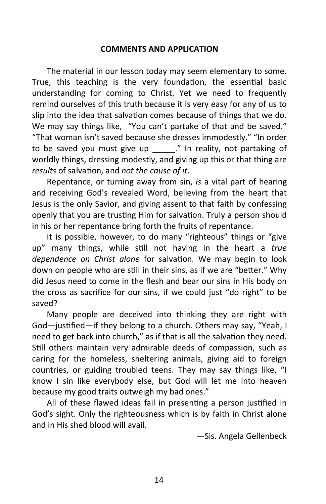#### **COMMENTS AND APPLICATION**

The material in our lesson today may seem elementary to some. True, this teaching is the very foundation, the essential basic understanding for coming to Christ. Yet we need to frequently remind ourselves of this truth because it is very easy for any of us to slip into the idea that salvation comes because of things that we do. We may say things like, "You can't partake of that and be saved." "That woman isn't saved because she dresses immodestly." "In order to be saved you must give up \_\_\_\_\_." In reality, not partaking of worldly things, dressing modestly, and giving up this or that thing are *results* of salvation, and *not the cause of it*.

Repentance, or turning away from sin, *is* a vital part of hearing and receiving God's revealed Word, believing from the heart that Jesus is the only Savior, and giving assent to that faith by confessing openly that you are trusting Him for salvation. Truly a person should in his or her repentance bring forth the fruits of repentance.

It is possible, however, to do many "righteous" things or "give up" many things, while still not having in the heart a *true dependence on Christ alone* for salvation. We may begin to look down on people who are still in their sins, as if we are "better." Why did Jesus need to come in the flesh and bear our sins in His body on the cross as sacrifice for our sins, if we could just "do right" to be saved?

Many people are deceived into thinking they are right with God—justified—if they belong to a church. Others may say, "Yeah, I need to get back into church," as if that is all the salvation they need. Still others maintain very admirable deeds of compassion, such as caring for the homeless, sheltering animals, giving aid to foreign countries, or guiding troubled teens. They may say things like, "I know I sin like everybody else, but God will let me into heaven because my good traits outweigh my bad ones."

All of these flawed ideas fail in presenting a person justified in God's sight. Only the righteousness which is by faith in Christ alone and in His shed blood will avail.

—Sis. Angela Gellenbeck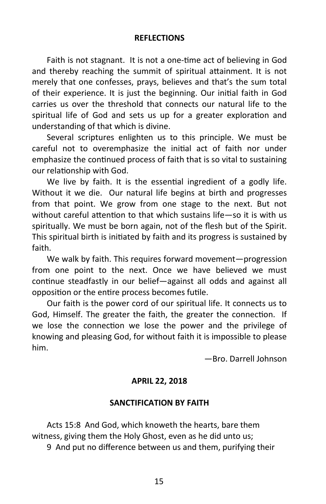#### **REFLECTIONS**

Faith is not stagnant. It is not a one-time act of believing in God and thereby reaching the summit of spiritual attainment. It is not merely that one confesses, prays, believes and that's the sum total of their experience. It is just the beginning. Our initial faith in God carries us over the threshold that connects our natural life to the spiritual life of God and sets us up for a greater exploration and understanding of that which is divine.

Several scriptures enlighten us to this principle. We must be careful not to overemphasize the initial act of faith nor under emphasize the continued process of faith that is so vital to sustaining our relationship with God.

We live by faith. It is the essential ingredient of a godly life. Without it we die. Our natural life begins at birth and progresses from that point. We grow from one stage to the next. But not without careful attention to that which sustains life—so it is with us spiritually. We must be born again, not of the flesh but of the Spirit. This spiritual birth is initiated by faith and its progress is sustained by faith.

We walk by faith. This requires forward movement—progression from one point to the next. Once we have believed we must continue steadfastly in our belief—against all odds and against all opposition or the entire process becomes futile.

Our faith is the power cord of our spiritual life. It connects us to God, Himself. The greater the faith, the greater the connection. If we lose the connection we lose the power and the privilege of knowing and pleasing God, for without faith it is impossible to please him.

—Bro. Darrell Johnson

# **APRIL 22, 2018**

#### **SANCTIFICATION BY FAITH**

Acts 15:8 And God, which knoweth the hearts, bare them witness, giving them the Holy Ghost, even as he did unto us;

9 And put no difference between us and them, purifying their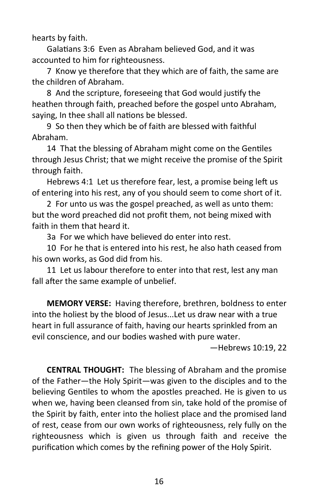hearts by faith.

Galatians 3:6 Even as Abraham believed God, and it was accounted to him for righteousness.

7 Know ye therefore that they which are of faith, the same are the children of Abraham.

8 And the scripture, foreseeing that God would justify the heathen through faith, preached before the gospel unto Abraham, saying, In thee shall all nations be blessed.

9 So then they which be of faith are blessed with faithful Abraham.

14 That the blessing of Abraham might come on the Gentiles through Jesus Christ; that we might receive the promise of the Spirit through faith.

Hebrews 4:1 Let us therefore fear, lest, a promise being left us of entering into his rest, any of you should seem to come short of it.

2 For unto us was the gospel preached, as well as unto them: but the word preached did not profit them, not being mixed with faith in them that heard it.

3a For we which have believed do enter into rest.

10 For he that is entered into his rest, he also hath ceased from his own works, as God did from his.

11 Let us labour therefore to enter into that rest, lest any man fall after the same example of unbelief.

**MEMORY VERSE:** Having therefore, brethren, boldness to enter into the holiest by the blood of Jesus...Let us draw near with a true heart in full assurance of faith, having our hearts sprinkled from an evil conscience, and our bodies washed with pure water.

—Hebrews 10:19, 22

**CENTRAL THOUGHT:** The blessing of Abraham and the promise of the Father—the Holy Spirit—was given to the disciples and to the believing Gentiles to whom the apostles preached. He is given to us when we, having been cleansed from sin, take hold of the promise of the Spirit by faith, enter into the holiest place and the promised land of rest, cease from our own works of righteousness, rely fully on the righteousness which is given us through faith and receive the purification which comes by the refining power of the Holy Spirit.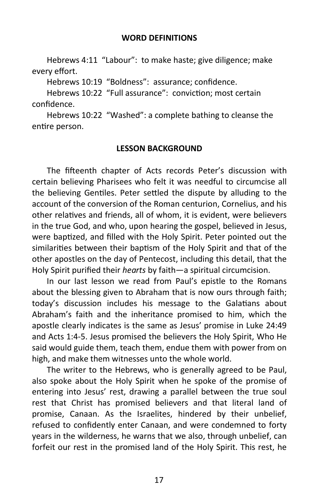Hebrews 4:11 "Labour": to make haste; give diligence; make every effort.

Hebrews 10:19 "Boldness": assurance; confidence.

Hebrews 10:22 "Full assurance": conviction; most certain confidence.

Hebrews 10:22 "Washed": a complete bathing to cleanse the entire person.

#### **LESSON BACKGROUND**

The fifteenth chapter of Acts records Peter's discussion with certain believing Pharisees who felt it was needful to circumcise all the believing Gentiles. Peter settled the dispute by alluding to the account of the conversion of the Roman centurion, Cornelius, and his other relatives and friends, all of whom, it is evident, were believers in the true God, and who, upon hearing the gospel, believed in Jesus, were baptized, and filled with the Holy Spirit. Peter pointed out the similarities between their baptism of the Holy Spirit and that of the other apostles on the day of Pentecost, including this detail, that the Holy Spirit purified their *hearts* by faith—a spiritual circumcision.

In our last lesson we read from Paul's epistle to the Romans about the blessing given to Abraham that is now ours through faith; today's discussion includes his message to the Galatians about Abraham's faith and the inheritance promised to him, which the apostle clearly indicates is the same as Jesus' promise in Luke 24:49 and Acts 1:4-5. Jesus promised the believers the Holy Spirit, Who He said would guide them, teach them, endue them with power from on high, and make them witnesses unto the whole world.

The writer to the Hebrews, who is generally agreed to be Paul, also spoke about the Holy Spirit when he spoke of the promise of entering into Jesus' rest, drawing a parallel between the true soul rest that Christ has promised believers and that literal land of promise, Canaan. As the Israelites, hindered by their unbelief, refused to confidently enter Canaan, and were condemned to forty years in the wilderness, he warns that we also, through unbelief, can forfeit our rest in the promised land of the Holy Spirit. This rest, he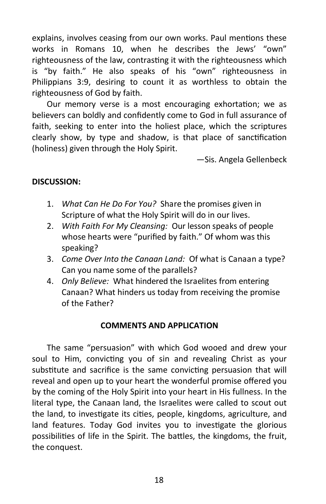explains, involves ceasing from our own works. Paul mentions these works in Romans 10, when he describes the Jews' "own" righteousness of the law, contrasting it with the righteousness which is "by faith." He also speaks of his "own" righteousness in Philippians 3:9, desiring to count it as worthless to obtain the righteousness of God by faith.

Our memory verse is a most encouraging exhortation; we as believers can boldly and confidently come to God in full assurance of faith, seeking to enter into the holiest place, which the scriptures clearly show, by type and shadow, is that place of sanctification (holiness) given through the Holy Spirit.

—Sis. Angela Gellenbeck

# **DISCUSSION:**

- 1. *What Can He Do For You?* Share the promises given in Scripture of what the Holy Spirit will do in our lives.
- 2. *With Faith For My Cleansing:* Our lesson speaks of people whose hearts were "purified by faith." Of whom was this speaking?
- 3. *Come Over Into the Canaan Land:* Of what is Canaan a type? Can you name some of the parallels?
- 4. *Only Believe:* What hindered the Israelites from entering Canaan? What hinders us today from receiving the promise of the Father?

#### **COMMENTS AND APPLICATION**

The same "persuasion" with which God wooed and drew your soul to Him, convicting you of sin and revealing Christ as your substitute and sacrifice is the same convicting persuasion that will reveal and open up to your heart the wonderful promise offered you by the coming of the Holy Spirit into your heart in His fullness. In the literal type, the Canaan land, the Israelites were called to scout out the land, to investigate its cities, people, kingdoms, agriculture, and land features. Today God invites you to investigate the glorious possibilities of life in the Spirit. The battles, the kingdoms, the fruit, the conquest.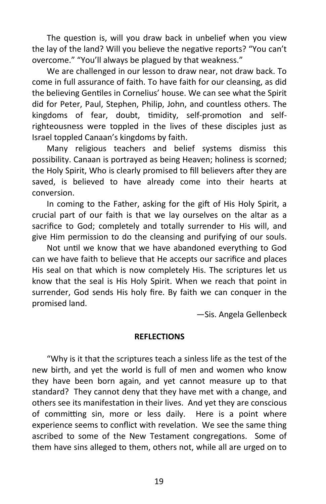The question is, will you draw back in unbelief when you view the lay of the land? Will you believe the negative reports? "You can't overcome." "You'll always be plagued by that weakness."

We are challenged in our lesson to draw near, not draw back. To come in full assurance of faith. To have faith for our cleansing, as did the believing Gentiles in Cornelius' house. We can see what the Spirit did for Peter, Paul, Stephen, Philip, John, and countless others. The kingdoms of fear, doubt, timidity, self-promotion and selfrighteousness were toppled in the lives of these disciples just as Israel toppled Canaan's kingdoms by faith.

Many religious teachers and belief systems dismiss this possibility. Canaan is portrayed as being Heaven; holiness is scorned; the Holy Spirit, Who is clearly promised to fill believers after they are saved, is believed to have already come into their hearts at conversion.

In coming to the Father, asking for the gift of His Holy Spirit, a crucial part of our faith is that we lay ourselves on the altar as a sacrifice to God; completely and totally surrender to His will, and give Him permission to do the cleansing and purifying of our souls.

Not until we know that we have abandoned everything to God can we have faith to believe that He accepts our sacrifice and places His seal on that which is now completely His. The scriptures let us know that the seal is His Holy Spirit. When we reach that point in surrender, God sends His holy fire. By faith we can conquer in the promised land.

—Sis. Angela Gellenbeck

#### **REFLECTIONS**

"Why is it that the scriptures teach a sinless life as the test of the new birth, and yet the world is full of men and women who know they have been born again, and yet cannot measure up to that standard? They cannot deny that they have met with a change, and others see its manifestation in their lives. And yet they are conscious of committing sin, more or less daily. Here is a point where experience seems to conflict with revelation. We see the same thing ascribed to some of the New Testament congregations. Some of them have sins alleged to them, others not, while all are urged on to

19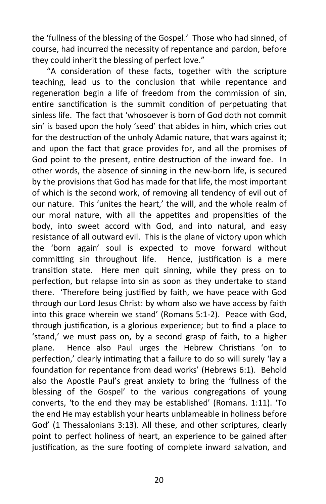the 'fullness of the blessing of the Gospel.' Those who had sinned, of course, had incurred the necessity of repentance and pardon, before they could inherit the blessing of perfect love."

"A consideration of these facts, together with the scripture teaching, lead us to the conclusion that while repentance and regeneration begin a life of freedom from the commission of sin, entire sanctification is the summit condition of perpetuating that sinless life. The fact that 'whosoever is born of God doth not commit sin' is based upon the holy 'seed' that abides in him, which cries out for the destruction of the unholy Adamic nature, that wars against it; and upon the fact that grace provides for, and all the promises of God point to the present, entire destruction of the inward foe. In other words, the absence of sinning in the new-born life, is secured by the provisions that God has made for that life, the most important of which is the second work, of removing all tendency of evil out of our nature. This 'unites the heart,' the will, and the whole realm of our moral nature, with all the appetites and propensities of the body, into sweet accord with God, and into natural, and easy resistance of all outward evil. This is the plane of victory upon which the 'born again' soul is expected to move forward without committing sin throughout life. Hence, justification is a mere transition state. Here men quit sinning, while they press on to perfection, but relapse into sin as soon as they undertake to stand there. 'Therefore being justified by faith, we have peace with God through our Lord Jesus Christ: by whom also we have access by faith into this grace wherein we stand' (Romans 5:1-2). Peace with God, through justification, is a glorious experience; but to find a place to 'stand,' we must pass on, by a second grasp of faith, to a higher plane. Hence also Paul urges the Hebrew Christians 'on to perfection,' clearly intimating that a failure to do so will surely 'lay a foundation for repentance from dead works' (Hebrews 6:1). Behold also the Apostle Paul's great anxiety to bring the 'fullness of the blessing of the Gospel' to the various congregations of young converts, 'to the end they may be established' (Romans. 1:11). 'To the end He may establish your hearts unblameable in holiness before God' (1 Thessalonians 3:13). All these, and other scriptures, clearly point to perfect holiness of heart, an experience to be gained after justification, as the sure footing of complete inward salvation, and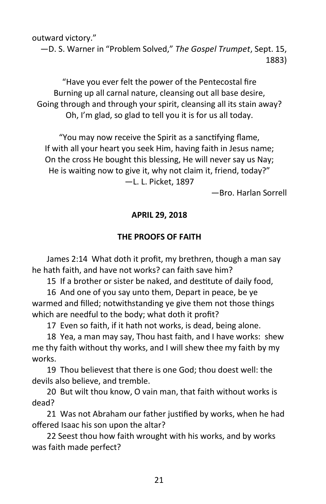outward victory."

—D. S. Warner in "Problem Solved," *The Gospel Trumpet*, Sept. 15, 1883)

"Have you ever felt the power of the Pentecostal fire Burning up all carnal nature, cleansing out all base desire, Going through and through your spirit, cleansing all its stain away? Oh, I'm glad, so glad to tell you it is for us all today.

"You may now receive the Spirit as a sanctifying flame, If with all your heart you seek Him, having faith in Jesus name; On the cross He bought this blessing, He will never say us Nay; He is waiting now to give it, why not claim it, friend, today?"

—L. L. Picket, 1897

—Bro. Harlan Sorrell

# **APRIL 29, 2018**

# **THE PROOFS OF FAITH**

James 2:14 What doth it profit, my brethren, though a man say he hath faith, and have not works? can faith save him?

15 If a brother or sister be naked, and destitute of daily food,

16 And one of you say unto them, Depart in peace, be ye warmed and filled; notwithstanding ye give them not those things which are needful to the body; what doth it profit?

17 Even so faith, if it hath not works, is dead, being alone.

18 Yea, a man may say, Thou hast faith, and I have works: shew me thy faith without thy works, and I will shew thee my faith by my works.

19 Thou believest that there is one God; thou doest well: the devils also believe, and tremble.

20 But wilt thou know, O vain man, that faith without works is dead?

21 Was not Abraham our father justified by works, when he had offered Isaac his son upon the altar?

22 Seest thou how faith wrought with his works, and by works was faith made perfect?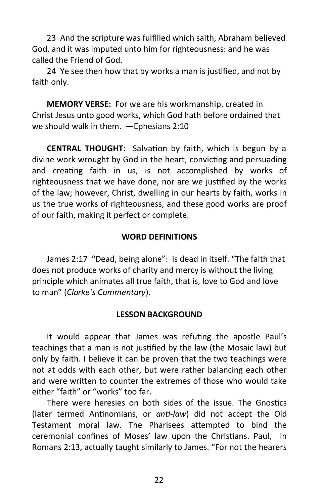23 And the scripture was fulfilled which saith, Abraham believed God, and it was imputed unto him for righteousness: and he was called the Friend of God.

24 Ye see then how that by works a man is justified, and not by faith only.

**MEMORY VERSE:** For we are his workmanship, created in Christ Jesus unto good works, which God hath before ordained that we should walk in them. —Ephesians 2:10

**CENTRAL THOUGHT**: Salvation by faith, which is begun by a divine work wrought by God in the heart, convicting and persuading and creating faith in us, is not accomplished by works of righteousness that we have done, nor are we justified by the works of the law; however, Christ, dwelling in our hearts by faith, works in us the true works of righteousness, and these good works are proof of our faith, making it perfect or complete.

#### **WORD DEFINITIONS**

James 2:17 "Dead, being alone": is dead in itself. "The faith that does not produce works of charity and mercy is without the living principle which animates all true faith, that is, love to God and love to man" (*Clarke's Commentary*).

#### **LESSON BACKGROUND**

It would appear that James was refuting the apostle Paul's teachings that a man is not justified by the law (the Mosaic law) but only by faith. I believe it can be proven that the two teachings were not at odds with each other, but were rather balancing each other and were written to counter the extremes of those who would take either "faith" or "works" too far.

There were heresies on both sides of the issue. The Gnostics (later termed Antinomians, or *anti-law*) did not accept the Old Testament moral law. The Pharisees attempted to bind the ceremonial confines of Moses' law upon the Christians. Paul, in Romans 2:13, actually taught similarly to James. "For not the hearers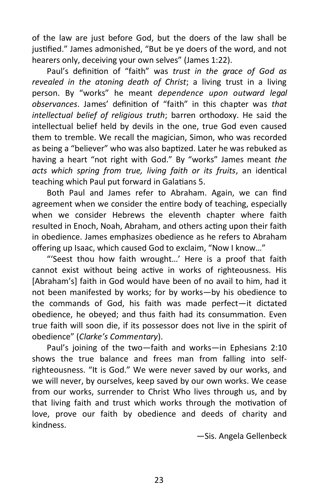of the law are just before God, but the doers of the law shall be justified." James admonished, "But be ye doers of the word, and not hearers only, deceiving your own selves" (James 1:22).

Paul's definition of "faith" was *trust in the grace of God as revealed in the atoning death of Christ*; a living trust in a living person. By "works" he meant *dependence upon outward legal observances*. James' definition of "faith" in this chapter was *that intellectual belief of religious truth*; barren orthodoxy. He said the intellectual belief held by devils in the one, true God even caused them to tremble. We recall the magician, Simon, who was recorded as being a "believer" who was also baptized. Later he was rebuked as having a heart "not right with God." By "works" James meant *the acts which spring from true, living faith or its fruits*, an identical teaching which Paul put forward in Galatians 5.

Both Paul and James refer to Abraham. Again, we can find agreement when we consider the entire body of teaching, especially when we consider Hebrews the eleventh chapter where faith resulted in Enoch, Noah, Abraham, and others acting upon their faith in obedience. James emphasizes obedience as he refers to Abraham offering up Isaac, which caused God to exclaim, "Now I know…"

"'Seest thou how faith wrought…' Here is a proof that faith cannot exist without being active in works of righteousness. His [Abraham's] faith in God would have been of no avail to him, had it not been manifested by works; for by works—by his obedience to the commands of God, his faith was made perfect—it dictated obedience, he obeyed; and thus faith had its consummation. Even true faith will soon die, if its possessor does not live in the spirit of obedience" (*Clarke's Commentary*).

Paul's joining of the two—faith and works—in Ephesians 2:10 shows the true balance and frees man from falling into selfrighteousness. "It is God." We were never saved by our works, and we will never, by ourselves, keep saved by our own works. We cease from our works, surrender to Christ Who lives through us, and by that living faith and trust which works through the motivation of love, prove our faith by obedience and deeds of charity and kindness.

—Sis. Angela Gellenbeck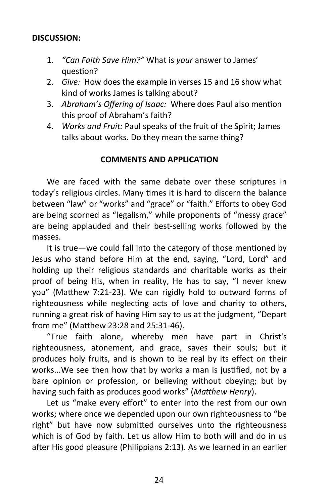# **DISCUSSION:**

- 1. *"Can Faith Save Him?"* What is *your* answer to James' question?
- 2. *Give:* How does the example in verses 15 and 16 show what kind of works James is talking about?
- 3. *Abraham's Offering of Isaac:* Where does Paul also mention this proof of Abraham's faith?
- 4. *Works and Fruit:* Paul speaks of the fruit of the Spirit; James talks about works. Do they mean the same thing?

#### **COMMENTS AND APPLICATION**

We are faced with the same debate over these scriptures in today's religious circles. Many times it is hard to discern the balance between "law" or "works" and "grace" or "faith." Efforts to obey God are being scorned as "legalism," while proponents of "messy grace" are being applauded and their best-selling works followed by the masses.

It is true—we could fall into the category of those mentioned by Jesus who stand before Him at the end, saying, "Lord, Lord" and holding up their religious standards and charitable works as their proof of being His, when in reality, He has to say, "I never knew you" (Matthew 7:21-23). We can rigidly hold to outward forms of righteousness while neglecting acts of love and charity to others, running a great risk of having Him say to us at the judgment, "Depart from me" (Matthew 23:28 and 25:31-46).

"True faith alone, whereby men have part in Christ's righteousness, atonement, and grace, saves their souls; but it produces holy fruits, and is shown to be real by its effect on their works...We see then how that by works a man is justified, not by a bare opinion or profession, or believing without obeying; but by having such faith as produces good works" (*Matthew Henry*).

Let us "make every effort" to enter into the rest from our own works; where once we depended upon our own righteousness to "be right" but have now submitted ourselves unto the righteousness which is of God by faith. Let us allow Him to both will and do in us after His good pleasure (Philippians 2:13). As we learned in an earlier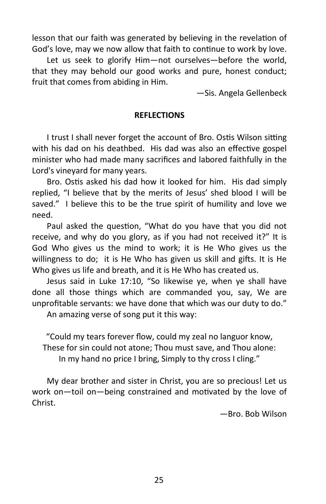lesson that our faith was generated by believing in the revelation of God's love, may we now allow that faith to continue to work by love.

Let us seek to glorify Him—not ourselves—before the world, that they may behold our good works and pure, honest conduct; fruit that comes from abiding in Him.

—Sis. Angela Gellenbeck

#### **REFLECTIONS**

I trust I shall never forget the account of Bro. Ostis Wilson sitting with his dad on his deathbed. His dad was also an effective gospel minister who had made many sacrifices and labored faithfully in the Lord's vineyard for many years.

Bro. Ostis asked his dad how it looked for him. His dad simply replied, "I believe that by the merits of Jesus' shed blood I will be saved." I believe this to be the true spirit of humility and love we need.

Paul asked the question, "What do you have that you did not receive, and why do you glory, as if you had not received it?" It is God Who gives us the mind to work; it is He Who gives us the willingness to do; it is He Who has given us skill and gifts. It is He Who gives us life and breath, and it is He Who has created us.

Jesus said in Luke 17:10, "So likewise ye, when ye shall have done all those things which are commanded you, say, We are unprofitable servants: we have done that which was our duty to do."

An amazing verse of song put it this way:

"Could my tears forever flow, could my zeal no languor know, These for sin could not atone; Thou must save, and Thou alone: In my hand no price I bring, Simply to thy cross I cling."

My dear brother and sister in Christ, you are so precious! Let us work on—toil on—being constrained and motivated by the love of Christ.

—Bro. Bob Wilson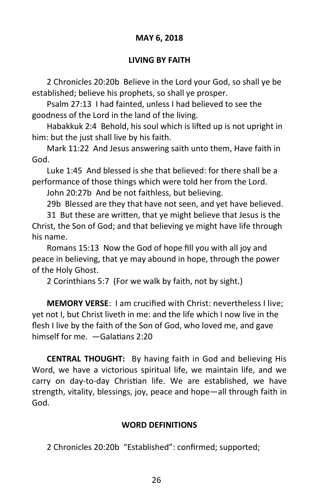# **MAY 6, 2018**

# **LIVING BY FAITH**

2 Chronicles 20:20b Believe in the Lord your God, so shall ye be established; believe his prophets, so shall ye prosper.

Psalm 27:13 I had fainted, unless I had believed to see the goodness of the Lord in the land of the living.

Habakkuk 2:4 Behold, his soul which is lifted up is not upright in him: but the just shall live by his faith.

Mark 11:22 And Jesus answering saith unto them, Have faith in God.

Luke 1:45 And blessed is she that believed: for there shall be a performance of those things which were told her from the Lord.

John 20:27b And be not faithless, but believing.

29b Blessed are they that have not seen, and yet have believed.

31 But these are written, that ye might believe that Jesus is the Christ, the Son of God; and that believing ye might have life through his name.

Romans 15:13 Now the God of hope fill you with all joy and peace in believing, that ye may abound in hope, through the power of the Holy Ghost.

2 Corinthians 5:7 (For we walk by faith, not by sight.)

**MEMORY VERSE**: I am crucified with Christ: nevertheless I live; yet not I, but Christ liveth in me: and the life which I now live in the flesh I live by the faith of the Son of God, who loved me, and gave himself for me. —Galatians 2:20

**CENTRAL THOUGHT:** By having faith in God and believing His Word, we have a victorious spiritual life, we maintain life, and we carry on day-to-day Christian life. We are established, we have strength, vitality, blessings, joy, peace and hope—all through faith in God.

#### **WORD DEFINITIONS**

2 Chronicles 20:20b "Established": confirmed; supported;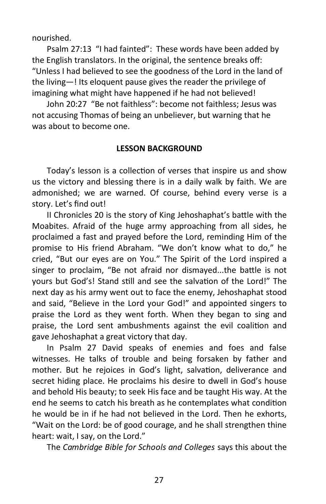nourished.

Psalm 27:13 "I had fainted": These words have been added by the English translators. In the original, the sentence breaks off: "Unless I had believed to see the goodness of the Lord in the land of the living—! Its eloquent pause gives the reader the privilege of imagining what might have happened if he had not believed!

John 20:27 "Be not faithless": become not faithless; Jesus was not accusing Thomas of being an unbeliever, but warning that he was about to become one.

# **LESSON BACKGROUND**

Today's lesson is a collection of verses that inspire us and show us the victory and blessing there is in a daily walk by faith. We are admonished; we are warned. Of course, behind every verse is a story. Let's find out!

II Chronicles 20 is the story of King Jehoshaphat's battle with the Moabites. Afraid of the huge army approaching from all sides, he proclaimed a fast and prayed before the Lord, reminding Him of the promise to His friend Abraham. "We don't know what to do," he cried, "But our eyes are on You." The Spirit of the Lord inspired a singer to proclaim, "Be not afraid nor dismayed...the battle is not yours but God's! Stand still and see the salvation of the Lord!" The next day as his army went out to face the enemy, Jehoshaphat stood and said, "Believe in the Lord your God!" and appointed singers to praise the Lord as they went forth. When they began to sing and praise, the Lord sent ambushments against the evil coalition and gave Jehoshaphat a great victory that day.

In Psalm 27 David speaks of enemies and foes and false witnesses. He talks of trouble and being forsaken by father and mother. But he rejoices in God's light, salvation, deliverance and secret hiding place. He proclaims his desire to dwell in God's house and behold His beauty; to seek His face and be taught His way. At the end he seems to catch his breath as he contemplates what condition he would be in if he had not believed in the Lord. Then he exhorts, "Wait on the Lord: be of good courage, and he shall strengthen thine heart: wait, I say, on the Lord."

The *Cambridge Bible for Schools and Colleges* says this about the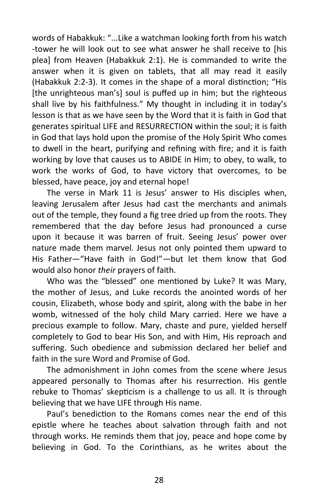words of Habakkuk: "...Like a watchman looking forth from his watch -tower he will look out to see what answer he shall receive to [his plea] from Heaven (Habakkuk 2:1). He is commanded to write the answer when it is given on tablets, that all may read it easily (Habakkuk 2:2-3). It comes in the shape of a moral distinction; "His [the unrighteous man's] soul is puffed up in him; but the righteous shall live by his faithfulness." My thought in including it in today's lesson is that as we have seen by the Word that it is faith in God that generates spiritual LIFE and RESURRECTION within the soul; it is faith in God that lays hold upon the promise of the Holy Spirit Who comes to dwell in the heart, purifying and refining with fire; and it is faith working by love that causes us to ABIDE in Him; to obey, to walk, to work the works of God, to have victory that overcomes, to be blessed, have peace, joy and eternal hope!

The verse in Mark 11 is Jesus' answer to His disciples when, leaving Jerusalem after Jesus had cast the merchants and animals out of the temple, they found a fig tree dried up from the roots. They remembered that the day before Jesus had pronounced a curse upon it because it was barren of fruit. Seeing Jesus' power over nature made them marvel. Jesus not only pointed them upward to His Father—"Have faith in God!"—but let them know that God would also honor *their* prayers of faith.

Who was the "blessed" one mentioned by Luke? It was Mary, the mother of Jesus, and Luke records the anointed words of her cousin, Elizabeth, whose body and spirit, along with the babe in her womb, witnessed of the holy child Mary carried. Here we have a precious example to follow. Mary, chaste and pure, yielded herself completely to God to bear His Son, and with Him, His reproach and suffering. Such obedience and submission declared her belief and faith in the sure Word and Promise of God.

The admonishment in John comes from the scene where Jesus appeared personally to Thomas after his resurrection. His gentle rebuke to Thomas' skepticism is a challenge to us all. It is through believing that we have LIFE through His name.

Paul's benediction to the Romans comes near the end of this epistle where he teaches about salvation through faith and not through works. He reminds them that joy, peace and hope come by believing in God. To the Corinthians, as he writes about the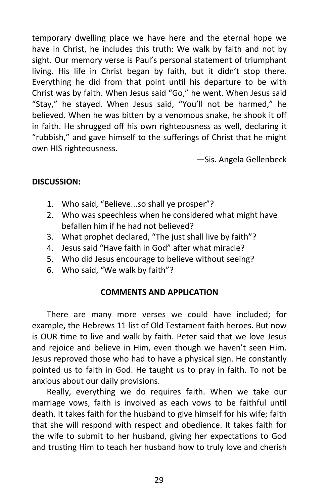temporary dwelling place we have here and the eternal hope we have in Christ, he includes this truth: We walk by faith and not by sight. Our memory verse is Paul's personal statement of triumphant living. His life in Christ began by faith, but it didn't stop there. Everything he did from that point until his departure to be with Christ was by faith. When Jesus said "Go," he went. When Jesus said "Stay," he stayed. When Jesus said, "You'll not be harmed," he believed. When he was bitten by a venomous snake, he shook it off in faith. He shrugged off his own righteousness as well, declaring it "rubbish," and gave himself to the sufferings of Christ that he might own HIS righteousness.

—Sis. Angela Gellenbeck

# **DISCUSSION:**

- 1. Who said, "Believe...so shall ye prosper"?
- 2. Who was speechless when he considered what might have befallen him if he had not believed?
- 3. What prophet declared, "The just shall live by faith"?
- 4. Jesus said "Have faith in God" after what miracle?
- 5. Who did Jesus encourage to believe without seeing?
- 6. Who said, "We walk by faith"?

#### **COMMENTS AND APPLICATION**

There are many more verses we could have included; for example, the Hebrews 11 list of Old Testament faith heroes. But now is OUR time to live and walk by faith. Peter said that we love Jesus and rejoice and believe in Him, even though we haven't seen Him. Jesus reproved those who had to have a physical sign. He constantly pointed us to faith in God. He taught us to pray in faith. To not be anxious about our daily provisions.

Really, everything we do requires faith. When we take our marriage vows, faith is involved as each vows to be faithful until death. It takes faith for the husband to give himself for his wife; faith that she will respond with respect and obedience. It takes faith for the wife to submit to her husband, giving her expectations to God and trusting Him to teach her husband how to truly love and cherish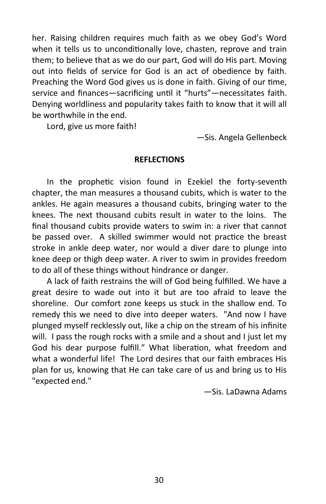her. Raising children requires much faith as we obey God's Word when it tells us to unconditionally love, chasten, reprove and train them; to believe that as we do our part, God will do His part. Moving out into fields of service for God is an act of obedience by faith. Preaching the Word God gives us is done in faith. Giving of our time, service and finances—sacrificing until it "hurts"—necessitates faith. Denying worldliness and popularity takes faith to know that it will all be worthwhile in the end.

Lord, give us more faith!

—Sis. Angela Gellenbeck

#### **REFLECTIONS**

In the prophetic vision found in Ezekiel the forty-seventh chapter, the man measures a thousand cubits, which is water to the ankles. He again measures a thousand cubits, bringing water to the knees. The next thousand cubits result in water to the loins. The final thousand cubits provide waters to swim in: a river that cannot be passed over. A skilled swimmer would not practice the breast stroke in ankle deep water, nor would a diver dare to plunge into knee deep or thigh deep water. A river to swim in provides freedom to do all of these things without hindrance or danger.

A lack of faith restrains the will of God being fulfilled. We have a great desire to wade out into it but are too afraid to leave the shoreline. Our comfort zone keeps us stuck in the shallow end. To remedy this we need to dive into deeper waters. "And now I have plunged myself recklessly out, like a chip on the stream of his infinite will. I pass the rough rocks with a smile and a shout and I just let my God his dear purpose fulfill." What liberation, what freedom and what a wonderful life! The Lord desires that our faith embraces His plan for us, knowing that He can take care of us and bring us to His "expected end."

—Sis. LaDawna Adams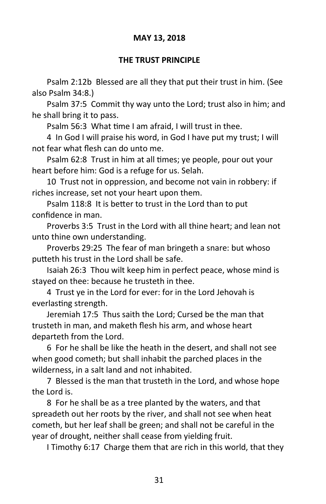# **MAY 13, 2018**

#### **THE TRUST PRINCIPLE**

Psalm 2:12b Blessed are all they that put their trust in him. (See also Psalm 34:8.)

Psalm 37:5 Commit thy way unto the Lord; trust also in him; and he shall bring it to pass.

Psalm 56:3 What time I am afraid, I will trust in thee.

4 In God I will praise his word, in God I have put my trust; I will not fear what flesh can do unto me.

Psalm 62:8 Trust in him at all times; ye people, pour out your heart before him: God is a refuge for us. Selah.

10 Trust not in oppression, and become not vain in robbery: if riches increase, set not your heart upon them.

Psalm 118:8 It is better to trust in the Lord than to put confidence in man.

Proverbs 3:5 Trust in the Lord with all thine heart; and lean not unto thine own understanding.

Proverbs 29:25 The fear of man bringeth a snare: but whoso putteth his trust in the Lord shall be safe.

Isaiah 26:3 Thou wilt keep him in perfect peace, whose mind is stayed on thee: because he trusteth in thee.

4 Trust ye in the Lord for ever: for in the Lord Jehovah is everlasting strength.

Jeremiah 17:5 Thus saith the Lord; Cursed be the man that trusteth in man, and maketh flesh his arm, and whose heart departeth from the Lord.

6 For he shall be like the heath in the desert, and shall not see when good cometh; but shall inhabit the parched places in the wilderness, in a salt land and not inhabited.

7 Blessed is the man that trusteth in the Lord, and whose hope the Lord is.

8 For he shall be as a tree planted by the waters, and that spreadeth out her roots by the river, and shall not see when heat cometh, but her leaf shall be green; and shall not be careful in the year of drought, neither shall cease from yielding fruit.

I Timothy 6:17 Charge them that are rich in this world, that they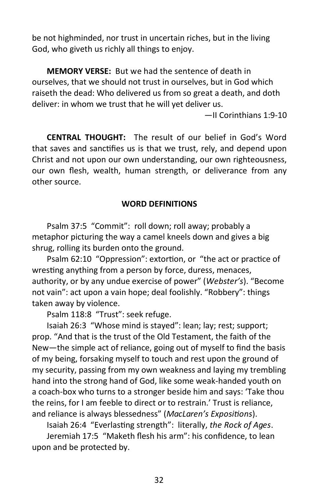be not highminded, nor trust in uncertain riches, but in the living God, who giveth us richly all things to enjoy.

**MEMORY VERSE:** But we had the sentence of death in ourselves, that we should not trust in ourselves, but in God which raiseth the dead: Who delivered us from so great a death, and doth deliver: in whom we trust that he will yet deliver us.

—II Corinthians 1:9-10

**CENTRAL THOUGHT:** The result of our belief in God's Word that saves and sanctifies us is that we trust, rely, and depend upon Christ and not upon our own understanding, our own righteousness, our own flesh, wealth, human strength, or deliverance from any other source.

#### **WORD DEFINITIONS**

Psalm 37:5 "Commit": roll down; roll away; probably a metaphor picturing the way a camel kneels down and gives a big shrug, rolling its burden onto the ground.

Psalm 62:10 "Oppression": extortion, or "the act or practice of wresting anything from a person by force, duress, menaces, authority, or by any undue exercise of power" (*Webster's*). "Become not vain": act upon a vain hope; deal foolishly. "Robbery": things taken away by violence.

Psalm 118:8 "Trust": seek refuge.

Isaiah 26:3 "Whose mind is stayed": lean; lay; rest; support; prop. "And that is the trust of the Old Testament, the faith of the New—the simple act of reliance, going out of myself to find the basis of my being, forsaking myself to touch and rest upon the ground of my security, passing from my own weakness and laying my trembling hand into the strong hand of God, like some weak-handed youth on a coach-box who turns to a stronger beside him and says: 'Take thou the reins, for I am feeble to direct or to restrain.' Trust is reliance, and reliance is always blessedness" (*MacLaren's Expositions*).

Isaiah 26:4 "Everlasting strength": literally, *the Rock of Ages*.

Jeremiah 17:5 "Maketh flesh his arm": his confidence, to lean upon and be protected by.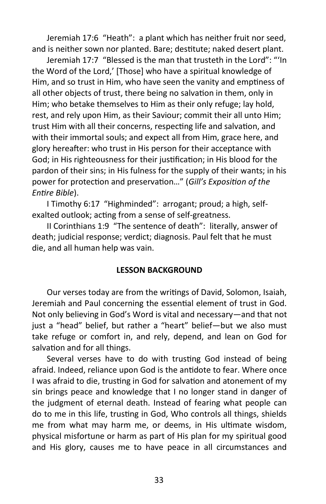Jeremiah 17:6 "Heath": a plant which has neither fruit nor seed, and is neither sown nor planted. Bare; destitute; naked desert plant.

Jeremiah 17:7 "Blessed is the man that trusteth in the Lord": "'In the Word of the Lord,' [Those] who have a spiritual knowledge of Him, and so trust in Him, who have seen the vanity and emptiness of all other objects of trust, there being no salvation in them, only in Him; who betake themselves to Him as their only refuge; lay hold, rest, and rely upon Him, as their Saviour; commit their all unto Him; trust Him with all their concerns, respecting life and salvation, and with their immortal souls; and expect all from Him, grace here, and glory hereafter: who trust in His person for their acceptance with God; in His righteousness for their justification; in His blood for the pardon of their sins; in His fulness for the supply of their wants; in his power for protection and preservation…" (*Gill's Exposition of the Entire Bible*).

I Timothy 6:17 "Highminded": arrogant; proud; a high, selfexalted outlook; acting from a sense of self-greatness.

II Corinthians 1:9 "The sentence of death": literally, answer of death; judicial response; verdict; diagnosis. Paul felt that he must die, and all human help was vain.

# **LESSON BACKGROUND**

Our verses today are from the writings of David, Solomon, Isaiah, Jeremiah and Paul concerning the essential element of trust in God. Not only believing in God's Word is vital and necessary—and that not just a "head" belief, but rather a "heart" belief—but we also must take refuge or comfort in, and rely, depend, and lean on God for salvation and for all things.

Several verses have to do with trusting God instead of being afraid. Indeed, reliance upon God is the antidote to fear. Where once I was afraid to die, trusting in God for salvation and atonement of my sin brings peace and knowledge that I no longer stand in danger of the judgment of eternal death. Instead of fearing what people can do to me in this life, trusting in God, Who controls all things, shields me from what may harm me, or deems, in His ultimate wisdom, physical misfortune or harm as part of His plan for my spiritual good and His glory, causes me to have peace in all circumstances and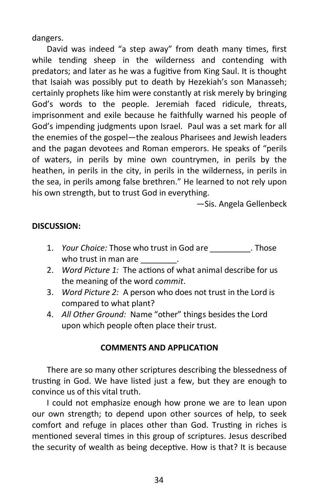dangers.

David was indeed "a step away" from death many times, first while tending sheep in the wilderness and contending with predators; and later as he was a fugitive from King Saul. It is thought that Isaiah was possibly put to death by Hezekiah's son Manasseh; certainly prophets like him were constantly at risk merely by bringing God's words to the people. Jeremiah faced ridicule, threats, imprisonment and exile because he faithfully warned his people of God's impending judgments upon Israel. Paul was a set mark for all the enemies of the gospel—the zealous Pharisees and Jewish leaders and the pagan devotees and Roman emperors. He speaks of "perils of waters, in perils by mine own countrymen, in perils by the heathen, in perils in the city, in perils in the wilderness, in perils in the sea, in perils among false brethren." He learned to not rely upon his own strength, but to trust God in everything.

—Sis. Angela Gellenbeck

# **DISCUSSION:**

- 1. *Your Choice:* Those who trust in God are **Those** . Those who trust in man are  $\qquad \qquad$ .
- 2. *Word Picture 1:* The actions of what animal describe for us the meaning of the word *commit*.
- 3. *Word Picture 2:* A person who does not trust in the Lord is compared to what plant?
- 4. *All Other Ground:* Name "other" things besides the Lord upon which people often place their trust.

# **COMMENTS AND APPLICATION**

There are so many other scriptures describing the blessedness of trusting in God. We have listed just a few, but they are enough to convince us of this vital truth.

I could not emphasize enough how prone we are to lean upon our own strength; to depend upon other sources of help, to seek comfort and refuge in places other than God. Trusting in riches is mentioned several times in this group of scriptures. Jesus described the security of wealth as being deceptive. How is that? It is because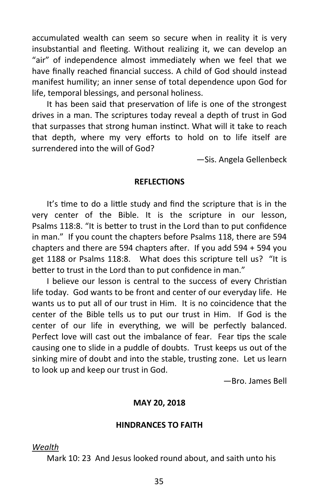accumulated wealth can seem so secure when in reality it is very insubstantial and fleeting. Without realizing it, we can develop an "air" of independence almost immediately when we feel that we have finally reached financial success. A child of God should instead manifest humility; an inner sense of total dependence upon God for life, temporal blessings, and personal holiness.

It has been said that preservation of life is one of the strongest drives in a man. The scriptures today reveal a depth of trust in God that surpasses that strong human instinct. What will it take to reach that depth, where my very efforts to hold on to life itself are surrendered into the will of God?

—Sis. Angela Gellenbeck

#### **REFLECTIONS**

It's time to do a little study and find the scripture that is in the very center of the Bible. It is the scripture in our lesson, Psalms 118:8. "It is better to trust in the Lord than to put confidence in man." If you count the chapters before Psalms 118, there are 594 chapters and there are 594 chapters after. If you add 594 + 594 you get 1188 or Psalms 118:8. What does this scripture tell us? "It is better to trust in the Lord than to put confidence in man."

I believe our lesson is central to the success of every Christian life today. God wants to be front and center of our everyday life. He wants us to put all of our trust in Him. It is no coincidence that the center of the Bible tells us to put our trust in Him. If God is the center of our life in everything, we will be perfectly balanced. Perfect love will cast out the imbalance of fear. Fear tips the scale causing one to slide in a puddle of doubts. Trust keeps us out of the sinking mire of doubt and into the stable, trusting zone. Let us learn to look up and keep our trust in God.

—Bro. James Bell

#### **MAY 20, 2018**

#### **HINDRANCES TO FAITH**

*Wealth*

Mark 10: 23 And Jesus looked round about, and saith unto his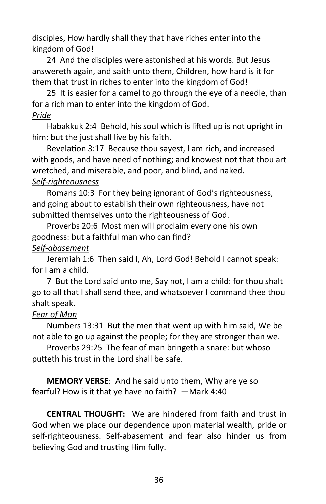disciples, How hardly shall they that have riches enter into the kingdom of God!

24 And the disciples were astonished at his words. But Jesus answereth again, and saith unto them, Children, how hard is it for them that trust in riches to enter into the kingdom of God!

25 It is easier for a camel to go through the eye of a needle, than for a rich man to enter into the kingdom of God. *Pride*

Habakkuk 2:4 Behold, his soul which is lifted up is not upright in him: but the just shall live by his faith.

Revelation 3:17 Because thou sayest, I am rich, and increased with goods, and have need of nothing; and knowest not that thou art wretched, and miserable, and poor, and blind, and naked.

# *Self-righteousness*

Romans 10:3 For they being ignorant of God's righteousness, and going about to establish their own righteousness, have not submitted themselves unto the righteousness of God.

Proverbs 20:6 Most men will proclaim every one his own goodness: but a faithful man who can find?

# *Self-abasement*

Jeremiah 1:6 Then said I, Ah, Lord God! Behold I cannot speak: for I am a child.

7 But the Lord said unto me, Say not, I am a child: for thou shalt go to all that I shall send thee, and whatsoever I command thee thou shalt speak.

# *Fear of Man*

Numbers 13:31 But the men that went up with him said, We be not able to go up against the people; for they are stronger than we.

Proverbs 29:25 The fear of man bringeth a snare: but whoso putteth his trust in the Lord shall be safe.

**MEMORY VERSE**: And he said unto them, Why are ye so fearful? How is it that ye have no faith? —Mark 4:40

**CENTRAL THOUGHT:** We are hindered from faith and trust in God when we place our dependence upon material wealth, pride or self-righteousness. Self-abasement and fear also hinder us from believing God and trusting Him fully.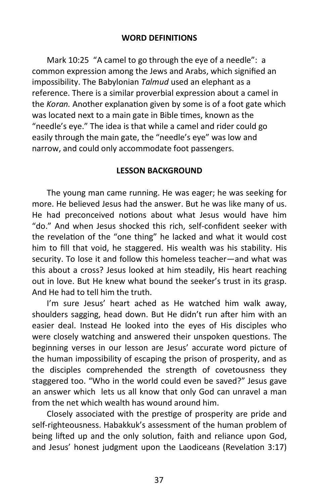#### **WORD DEFINITIONS**

Mark 10:25 "A camel to go through the eye of a needle": a common expression among the Jews and Arabs, which signified an impossibility. The Babylonian *Talmud* used an elephant as a reference. There is a similar proverbial expression about a camel in the *Koran.* Another explanation given by some is of a foot gate which was located next to a main gate in Bible times, known as the "needle's eye." The idea is that while a camel and rider could go easily through the main gate, the "needle's eye" was low and narrow, and could only accommodate foot passengers.

# **LESSON BACKGROUND**

The young man came running. He was eager; he was seeking for more. He believed Jesus had the answer. But he was like many of us. He had preconceived notions about what Jesus would have him "do." And when Jesus shocked this rich, self-confident seeker with the revelation of the "one thing" he lacked and what it would cost him to fill that void, he staggered. His wealth was his stability. His security. To lose it and follow this homeless teacher—and what was this about a cross? Jesus looked at him steadily, His heart reaching out in love. But He knew what bound the seeker's trust in its grasp. And He had to tell him the truth.

I'm sure Jesus' heart ached as He watched him walk away, shoulders sagging, head down. But He didn't run after him with an easier deal. Instead He looked into the eyes of His disciples who were closely watching and answered their unspoken questions. The beginning verses in our lesson are Jesus' accurate word picture of the human impossibility of escaping the prison of prosperity, and as the disciples comprehended the strength of covetousness they staggered too. "Who in the world could even be saved?" Jesus gave an answer which lets us all know that only God can unravel a man from the net which wealth has wound around him.

Closely associated with the prestige of prosperity are pride and self-righteousness. Habakkuk's assessment of the human problem of being lifted up and the only solution, faith and reliance upon God, and Jesus' honest judgment upon the Laodiceans (Revelation 3:17)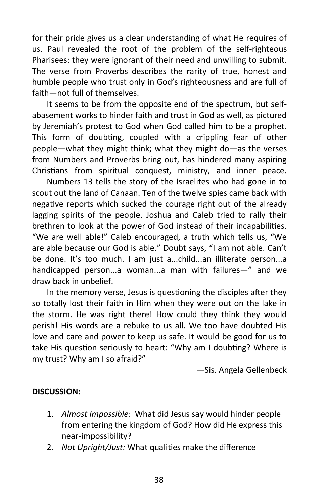for their pride gives us a clear understanding of what He requires of us. Paul revealed the root of the problem of the self-righteous Pharisees: they were ignorant of their need and unwilling to submit. The verse from Proverbs describes the rarity of true, honest and humble people who trust only in God's righteousness and are full of faith—not full of themselves.

It seems to be from the opposite end of the spectrum, but selfabasement works to hinder faith and trust in God as well, as pictured by Jeremiah's protest to God when God called him to be a prophet. This form of doubting, coupled with a crippling fear of other people—what they might think; what they might do—as the verses from Numbers and Proverbs bring out, has hindered many aspiring Christians from spiritual conquest, ministry, and inner peace.

Numbers 13 tells the story of the Israelites who had gone in to scout out the land of Canaan. Ten of the twelve spies came back with negative reports which sucked the courage right out of the already lagging spirits of the people. Joshua and Caleb tried to rally their brethren to look at the power of God instead of their incapabilities. "We are well able!" Caleb encouraged, a truth which tells us, "We are able because our God is able." Doubt says, "I am not able. Can't be done. It's too much. I am just a...child...an illiterate person...a handicapped person...a woman...a man with failures—" and we draw back in unbelief.

In the memory verse, Jesus is questioning the disciples after they so totally lost their faith in Him when they were out on the lake in the storm. He was right there! How could they think they would perish! His words are a rebuke to us all. We too have doubted His love and care and power to keep us safe. It would be good for us to take His question seriously to heart: "Why am I doubting? Where is my trust? Why am I so afraid?"

—Sis. Angela Gellenbeck

# **DISCUSSION:**

- 1. *Almost Impossible:* What did Jesus say would hinder people from entering the kingdom of God? How did He express this near-impossibility?
- 2. *Not Upright/Just:* What qualities make the difference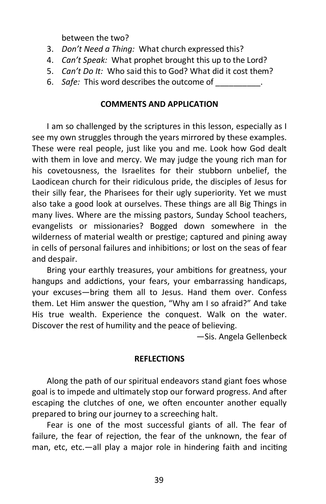between the two?

- 3. *Don't Need a Thing:* What church expressed this?
- 4. *Can't Speak:* What prophet brought this up to the Lord?
- 5. *Can't Do It:* Who said this to God? What did it cost them?
- 6. *Safe:* This word describes the outcome of

### **COMMENTS AND APPLICATION**

I am so challenged by the scriptures in this lesson, especially as I see my own struggles through the years mirrored by these examples. These were real people, just like you and me. Look how God dealt with them in love and mercy. We may judge the young rich man for his covetousness, the Israelites for their stubborn unbelief, the Laodicean church for their ridiculous pride, the disciples of Jesus for their silly fear, the Pharisees for their ugly superiority. Yet we must also take a good look at ourselves. These things are all Big Things in many lives. Where are the missing pastors, Sunday School teachers, evangelists or missionaries? Bogged down somewhere in the wilderness of material wealth or prestige; captured and pining away in cells of personal failures and inhibitions; or lost on the seas of fear and despair.

Bring your earthly treasures, your ambitions for greatness, your hangups and addictions, your fears, your embarrassing handicaps, your excuses—bring them all to Jesus. Hand them over. Confess them. Let Him answer the question, "Why am I so afraid?" And take His true wealth. Experience the conquest. Walk on the water. Discover the rest of humility and the peace of believing.

—Sis. Angela Gellenbeck

#### **REFLECTIONS**

Along the path of our spiritual endeavors stand giant foes whose goal is to impede and ultimately stop our forward progress. And after escaping the clutches of one, we often encounter another equally prepared to bring our journey to a screeching halt.

Fear is one of the most successful giants of all. The fear of failure, the fear of rejection, the fear of the unknown, the fear of man, etc, etc.—all play a major role in hindering faith and inciting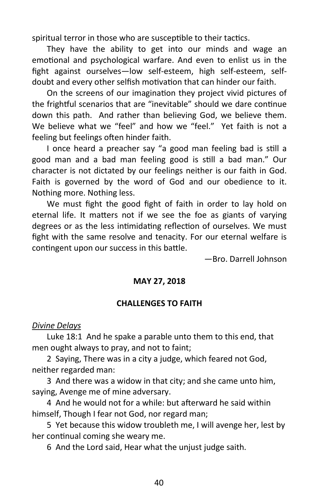spiritual terror in those who are susceptible to their tactics.

They have the ability to get into our minds and wage an emotional and psychological warfare. And even to enlist us in the fight against ourselves—low self-esteem, high self-esteem, selfdoubt and every other selfish motivation that can hinder our faith.

On the screens of our imagination they project vivid pictures of the frightful scenarios that are "inevitable" should we dare continue down this path. And rather than believing God, we believe them. We believe what we "feel" and how we "feel." Yet faith is not a feeling but feelings often hinder faith.

I once heard a preacher say "a good man feeling bad is still a good man and a bad man feeling good is still a bad man." Our character is not dictated by our feelings neither is our faith in God. Faith is governed by the word of God and our obedience to it. Nothing more. Nothing less.

We must fight the good fight of faith in order to lay hold on eternal life. It matters not if we see the foe as giants of varying degrees or as the less intimidating reflection of ourselves. We must fight with the same resolve and tenacity. For our eternal welfare is contingent upon our success in this battle.

—Bro. Darrell Johnson

#### **MAY 27, 2018**

#### **CHALLENGES TO FAITH**

#### *Divine Delays*

Luke 18:1 And he spake a parable unto them to this end, that men ought always to pray, and not to faint;

2 Saying, There was in a city a judge, which feared not God, neither regarded man:

3 And there was a widow in that city; and she came unto him, saying, Avenge me of mine adversary.

4 And he would not for a while: but afterward he said within himself, Though I fear not God, nor regard man;

5 Yet because this widow troubleth me, I will avenge her, lest by her continual coming she weary me.

6 And the Lord said, Hear what the unjust judge saith.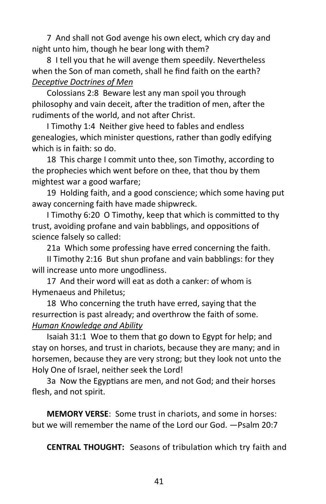7 And shall not God avenge his own elect, which cry day and night unto him, though he bear long with them?

8 I tell you that he will avenge them speedily. Nevertheless when the Son of man cometh, shall he find faith on the earth? *Deceptive Doctrines of Men*

Colossians 2:8 Beware lest any man spoil you through philosophy and vain deceit, after the tradition of men, after the rudiments of the world, and not after Christ.

I Timothy 1:4 Neither give heed to fables and endless genealogies, which minister questions, rather than godly edifying which is in faith: so do.

18 This charge I commit unto thee, son Timothy, according to the prophecies which went before on thee, that thou by them mightest war a good warfare;

19 Holding faith, and a good conscience; which some having put away concerning faith have made shipwreck.

I Timothy 6:20 O Timothy, keep that which is committed to thy trust, avoiding profane and vain babblings, and oppositions of science falsely so called:

21a Which some professing have erred concerning the faith.

II Timothy 2:16 But shun profane and vain babblings: for they will increase unto more ungodliness.

17 And their word will eat as doth a canker: of whom is Hymenaeus and Philetus;

18 Who concerning the truth have erred, saying that the resurrection is past already; and overthrow the faith of some. *Human Knowledge and Ability*

Isaiah 31:1 Woe to them that go down to Egypt for help; and stay on horses, and trust in chariots, because they are many; and in horsemen, because they are very strong; but they look not unto the Holy One of Israel, neither seek the Lord!

3a Now the Egyptians are men, and not God; and their horses flesh, and not spirit.

**MEMORY VERSE**: Some trust in chariots, and some in horses: but we will remember the name of the Lord our God. —Psalm 20:7

**CENTRAL THOUGHT:** Seasons of tribulation which try faith and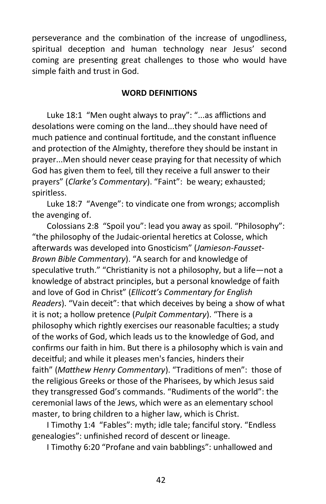perseverance and the combination of the increase of ungodliness, spiritual deception and human technology near Jesus' second coming are presenting great challenges to those who would have simple faith and trust in God.

#### **WORD DEFINITIONS**

Luke 18:1 "Men ought always to pray": "...as afflictions and desolations were coming on the land...they should have need of much patience and continual fortitude, and the constant influence and protection of the Almighty, therefore they should be instant in prayer...Men should never cease praying for that necessity of which God has given them to feel, till they receive a full answer to their prayers" (*Clarke's Commentary*). "Faint": be weary; exhausted; spiritless.

Luke 18:7 "Avenge": to vindicate one from wrongs; accomplish the avenging of.

Colossians 2:8 "Spoil you": lead you away as spoil. "Philosophy": "the philosophy of the Judaic-oriental heretics at Colosse, which afterwards was developed into Gnosticism" (*Jamieson-Fausset-Brown Bible Commentary*). "A search for and knowledge of speculative truth." "Christianity is not a philosophy, but a life—not a knowledge of abstract principles, but a personal knowledge of faith and love of God in Christ" (*Ellicott's Commentary for English Readers*). "Vain deceit": that which deceives by being a show of what it is not; a hollow pretence (*Pulpit Commentary*). "There is a philosophy which rightly exercises our reasonable faculties; a study of the works of God, which leads us to the knowledge of God, and confirms our faith in him. But there is a philosophy which is vain and deceitful; and while it pleases men's fancies, hinders their faith" (*Matthew Henry Commentary*). "Traditions of men": those of the religious Greeks or those of the Pharisees, by which Jesus said they transgressed God's commands. "Rudiments of the world": the ceremonial laws of the Jews, which were as an elementary school master, to bring children to a higher law, which is Christ.

I Timothy 1:4 "Fables": myth; idle tale; fanciful story. "Endless genealogies": unfinished record of descent or lineage.

I Timothy 6:20 "Profane and vain babblings": unhallowed and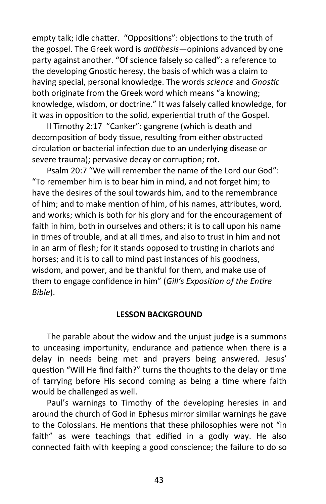empty talk; idle chatter. "Oppositions": objections to the truth of the gospel. The Greek word is *antithesis*—opinions advanced by one party against another. "Of science falsely so called": a reference to the developing Gnostic heresy, the basis of which was a claim to having special, personal knowledge. The words *science* and *Gnostic* both originate from the Greek word which means "a knowing; knowledge, wisdom, or doctrine." It was falsely called knowledge, for it was in opposition to the solid, experiential truth of the Gospel.

II Timothy 2:17 "Canker": gangrene (which is death and decomposition of body tissue, resulting from either obstructed circulation or bacterial infection due to an underlying disease or severe trauma); pervasive decay or corruption; rot.

Psalm 20:7 "We will remember the name of the Lord our God": "To remember him is to bear him in mind, and not forget him; to have the desires of the soul towards him, and to the remembrance of him; and to make mention of him, of his names, attributes, word, and works; which is both for his glory and for the encouragement of faith in him, both in ourselves and others; it is to call upon his name in times of trouble, and at all times, and also to trust in him and not in an arm of flesh; for it stands opposed to trusting in chariots and horses; and it is to call to mind past instances of his goodness, wisdom, and power, and be thankful for them, and make use of them to engage confidence in him" (*Gill's Exposition of the Entire Bible*).

#### **LESSON BACKGROUND**

The parable about the widow and the unjust judge is a summons to unceasing importunity, endurance and patience when there is a delay in needs being met and prayers being answered. Jesus' question "Will He find faith?" turns the thoughts to the delay or time of tarrying before His second coming as being a time where faith would be challenged as well.

Paul's warnings to Timothy of the developing heresies in and around the church of God in Ephesus mirror similar warnings he gave to the Colossians. He mentions that these philosophies were not "in faith" as were teachings that edified in a godly way. He also connected faith with keeping a good conscience; the failure to do so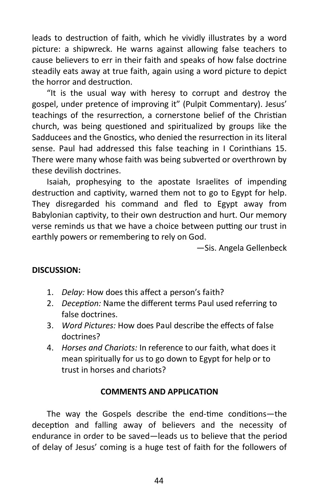leads to destruction of faith, which he vividly illustrates by a word picture: a shipwreck. He warns against allowing false teachers to cause believers to err in their faith and speaks of how false doctrine steadily eats away at true faith, again using a word picture to depict the horror and destruction.

"It is the usual way with heresy to corrupt and destroy the gospel, under pretence of improving it" (Pulpit Commentary). Jesus' teachings of the resurrection, a cornerstone belief of the Christian church, was being questioned and spiritualized by groups like the Sadducees and the Gnostics, who denied the resurrection in its literal sense. Paul had addressed this false teaching in I Corinthians 15. There were many whose faith was being subverted or overthrown by these devilish doctrines.

Isaiah, prophesying to the apostate Israelites of impending destruction and captivity, warned them not to go to Egypt for help. They disregarded his command and fled to Egypt away from Babylonian captivity, to their own destruction and hurt. Our memory verse reminds us that we have a choice between putting our trust in earthly powers or remembering to rely on God.

—Sis. Angela Gellenbeck

# **DISCUSSION:**

- 1. *Delay:* How does this affect a person's faith?
- 2. *Deception:* Name the different terms Paul used referring to false doctrines.
- 3. *Word Pictures:* How does Paul describe the effects of false doctrines?
- 4. *Horses and Chariots:* In reference to our faith, what does it mean spiritually for us to go down to Egypt for help or to trust in horses and chariots?

# **COMMENTS AND APPLICATION**

The way the Gospels describe the end-time conditions—the deception and falling away of believers and the necessity of endurance in order to be saved—leads us to believe that the period of delay of Jesus' coming is a huge test of faith for the followers of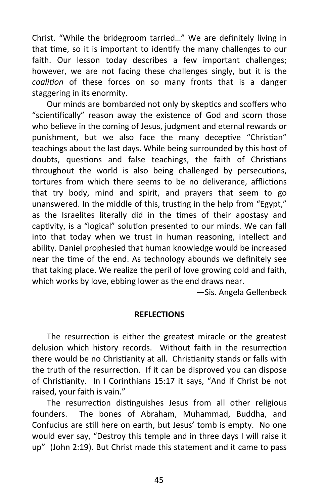Christ. "While the bridegroom tarried…" We are definitely living in that time, so it is important to identify the many challenges to our faith. Our lesson today describes a few important challenges; however, we are not facing these challenges singly, but it is the *coalition* of these forces on so many fronts that is a danger staggering in its enormity.

Our minds are bombarded not only by skeptics and scoffers who "scientifically" reason away the existence of God and scorn those who believe in the coming of Jesus, judgment and eternal rewards or punishment, but we also face the many deceptive "Christian" teachings about the last days. While being surrounded by this host of doubts, questions and false teachings, the faith of Christians throughout the world is also being challenged by persecutions, tortures from which there seems to be no deliverance, afflictions that try body, mind and spirit, and prayers that seem to go unanswered. In the middle of this, trusting in the help from "Egypt," as the Israelites literally did in the times of their apostasy and captivity, is a "logical" solution presented to our minds. We can fall into that today when we trust in human reasoning, intellect and ability. Daniel prophesied that human knowledge would be increased near the time of the end. As technology abounds we definitely see that taking place. We realize the peril of love growing cold and faith, which works by love, ebbing lower as the end draws near.

—Sis. Angela Gellenbeck

#### **REFLECTIONS**

The resurrection is either the greatest miracle or the greatest delusion which history records. Without faith in the resurrection there would be no Christianity at all. Christianity stands or falls with the truth of the resurrection. If it can be disproved you can dispose of Christianity. In I Corinthians 15:17 it says, "And if Christ be not raised, your faith is vain."

The resurrection distinguishes Jesus from all other religious founders. The bones of Abraham, Muhammad, Buddha, and Confucius are still here on earth, but Jesus' tomb is empty. No one would ever say, "Destroy this temple and in three days I will raise it up" (John 2:19). But Christ made this statement and it came to pass

45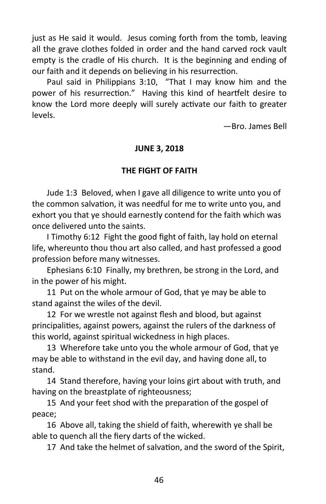just as He said it would. Jesus coming forth from the tomb, leaving all the grave clothes folded in order and the hand carved rock vault empty is the cradle of His church. It is the beginning and ending of our faith and it depends on believing in his resurrection.

Paul said in Philippians 3:10, "That I may know him and the power of his resurrection." Having this kind of heartfelt desire to know the Lord more deeply will surely activate our faith to greater levels.

—Bro. James Bell

# **JUNE 3, 2018**

# **THE FIGHT OF FAITH**

Jude 1:3 Beloved, when I gave all diligence to write unto you of the common salvation, it was needful for me to write unto you, and exhort you that ye should earnestly contend for the faith which was once delivered unto the saints.

I Timothy 6:12 Fight the good fight of faith, lay hold on eternal life, whereunto thou thou art also called, and hast professed a good profession before many witnesses.

Ephesians 6:10 Finally, my brethren, be strong in the Lord, and in the power of his might.

11 Put on the whole armour of God, that ye may be able to stand against the wiles of the devil.

12 For we wrestle not against flesh and blood, but against principalities, against powers, against the rulers of the darkness of this world, against spiritual wickedness in high places.

13 Wherefore take unto you the whole armour of God, that ye may be able to withstand in the evil day, and having done all, to stand.

14 Stand therefore, having your loins girt about with truth, and having on the breastplate of righteousness;

15 And your feet shod with the preparation of the gospel of peace;

16 Above all, taking the shield of faith, wherewith ye shall be able to quench all the fiery darts of the wicked.

17 And take the helmet of salvation, and the sword of the Spirit,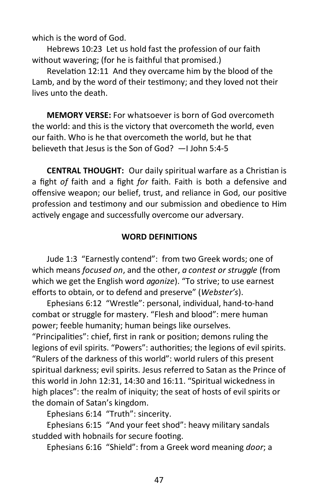which is the word of God.

Hebrews 10:23 Let us hold fast the profession of our faith without wavering; (for he is faithful that promised.)

Revelation 12:11 And they overcame him by the blood of the Lamb, and by the word of their testimony; and they loved not their lives unto the death.

**MEMORY VERSE:** For whatsoever is born of God overcometh the world: and this is the victory that overcometh the world, even our faith. Who is he that overcometh the world, but he that believeth that Jesus is the Son of God? —I John 5:4-5

**CENTRAL THOUGHT:** Our daily spiritual warfare as a Christian is a fight *of* faith and a fight *for* faith. Faith is both a defensive and offensive weapon; our belief, trust, and reliance in God, our positive profession and testimony and our submission and obedience to Him actively engage and successfully overcome our adversary.

# **WORD DEFINITIONS**

Jude 1:3 "Earnestly contend": from two Greek words; one of which means *focused on*, and the other, *a contest or struggle* (from which we get the English word *agonize*). "To strive; to use earnest efforts to obtain, or to defend and preserve" (*Webster's*).

Ephesians 6:12 "Wrestle": personal, individual, hand-to-hand combat or struggle for mastery. "Flesh and blood": mere human power; feeble humanity; human beings like ourselves.

"Principalities": chief, first in rank or position; demons ruling the legions of evil spirits. "Powers": authorities; the legions of evil spirits. "Rulers of the darkness of this world": world rulers of this present spiritual darkness; evil spirits. Jesus referred to Satan as the Prince of this world in John 12:31, 14:30 and 16:11. "Spiritual wickedness in high places": the realm of iniquity; the seat of hosts of evil spirits or the domain of Satan's kingdom.

Ephesians 6:14 "Truth": sincerity.

Ephesians 6:15 "And your feet shod": heavy military sandals studded with hobnails for secure footing.

Ephesians 6:16 "Shield": from a Greek word meaning *door*; a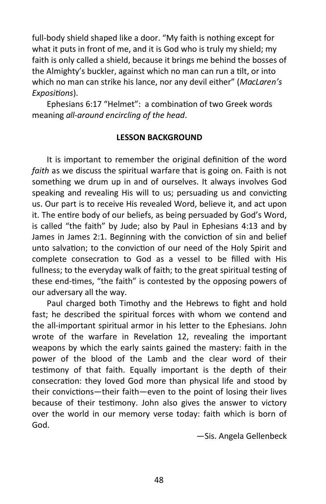full-body shield shaped like a door. "My faith is nothing except for what it puts in front of me, and it is God who is truly my shield; my faith is only called a shield, because it brings me behind the bosses of the Almighty's buckler, against which no man can run a tilt, or into which no man can strike his lance, nor any devil either" (*MacLaren's Expositions*).

Ephesians 6:17 "Helmet": a combination of two Greek words meaning *all-around encircling of the head*.

### **LESSON BACKGROUND**

It is important to remember the original definition of the word *faith* as we discuss the spiritual warfare that is going on. Faith is not something we drum up in and of ourselves. It always involves God speaking and revealing His will to us; persuading us and convicting us. Our part is to receive His revealed Word, believe it, and act upon it. The entire body of our beliefs, as being persuaded by God's Word, is called "the faith" by Jude; also by Paul in Ephesians 4:13 and by James in James 2:1. Beginning with the conviction of sin and belief unto salvation; to the conviction of our need of the Holy Spirit and complete consecration to God as a vessel to be filled with His fullness; to the everyday walk of faith; to the great spiritual testing of these end-times, "the faith" is contested by the opposing powers of our adversary all the way.

Paul charged both Timothy and the Hebrews to fight and hold fast; he described the spiritual forces with whom we contend and the all-important spiritual armor in his letter to the Ephesians. John wrote of the warfare in Revelation 12, revealing the important weapons by which the early saints gained the mastery: faith in the power of the blood of the Lamb and the clear word of their testimony of that faith. Equally important is the depth of their consecration: they loved God more than physical life and stood by their convictions—their faith—even to the point of losing their lives because of their testimony. John also gives the answer to victory over the world in our memory verse today: faith which is born of God.

—Sis. Angela Gellenbeck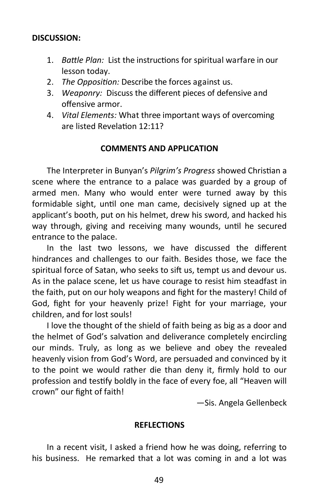#### **DISCUSSION:**

- 1. *Battle Plan:* List the instructions for spiritual warfare in our lesson today.
- 2. *The Opposition:* Describe the forces against us.
- 3. *Weaponry:* Discuss the different pieces of defensive and offensive armor.
- 4. *Vital Elements:* What three important ways of overcoming are listed Revelation 12:11?

#### **COMMENTS AND APPLICATION**

The Interpreter in Bunyan's *Pilgrim's Progress* showed Christian a scene where the entrance to a palace was guarded by a group of armed men. Many who would enter were turned away by this formidable sight, until one man came, decisively signed up at the applicant's booth, put on his helmet, drew his sword, and hacked his way through, giving and receiving many wounds, until he secured entrance to the palace.

In the last two lessons, we have discussed the different hindrances and challenges to our faith. Besides those, we face the spiritual force of Satan, who seeks to sift us, tempt us and devour us. As in the palace scene, let us have courage to resist him steadfast in the faith, put on our holy weapons and fight for the mastery! Child of God, fight for your heavenly prize! Fight for your marriage, your children, and for lost souls!

I love the thought of the shield of faith being as big as a door and the helmet of God's salvation and deliverance completely encircling our minds. Truly, as long as we believe and obey the revealed heavenly vision from God's Word, are persuaded and convinced by it to the point we would rather die than deny it, firmly hold to our profession and testify boldly in the face of every foe, all "Heaven will crown" our fight of faith!

—Sis. Angela Gellenbeck

#### **REFLECTIONS**

In a recent visit, I asked a friend how he was doing, referring to his business. He remarked that a lot was coming in and a lot was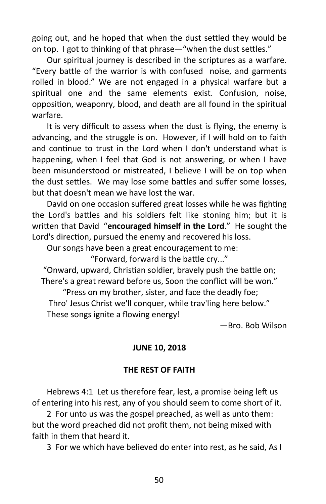going out, and he hoped that when the dust settled they would be on top. I got to thinking of that phrase—"when the dust settles."

Our spiritual journey is described in the scriptures as a warfare. "Every battle of the warrior is with confused noise, and garments rolled in blood." We are not engaged in a physical warfare but a spiritual one and the same elements exist. Confusion, noise, opposition, weaponry, blood, and death are all found in the spiritual warfare.

It is very difficult to assess when the dust is flying, the enemy is advancing, and the struggle is on. However, if I will hold on to faith and continue to trust in the Lord when I don't understand what is happening, when I feel that God is not answering, or when I have been misunderstood or mistreated, I believe I will be on top when the dust settles. We may lose some battles and suffer some losses, but that doesn't mean we have lost the war.

David on one occasion suffered great losses while he was fighting the Lord's battles and his soldiers felt like stoning him; but it is written that David "**encouraged himself in the Lord**." He sought the Lord's direction, pursued the enemy and recovered his loss.

Our songs have been a great encouragement to me:

"Forward, forward is the battle cry..."

"Onward, upward, Christian soldier, bravely push the battle on; There's a great reward before us, Soon the conflict will be won."

"Press on my brother, sister, and face the deadly foe; Thro' Jesus Christ we'll conquer, while trav'ling here below." These songs ignite a flowing energy!

—Bro. Bob Wilson

# **JUNE 10, 2018**

# **THE REST OF FAITH**

Hebrews 4:1 Let us therefore fear, lest, a promise being left us of entering into his rest, any of you should seem to come short of it.

2 For unto us was the gospel preached, as well as unto them: but the word preached did not profit them, not being mixed with faith in them that heard it.

3 For we which have believed do enter into rest, as he said, As I

50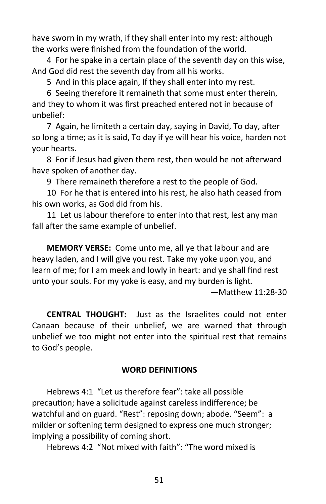have sworn in my wrath, if they shall enter into my rest: although the works were finished from the foundation of the world.

4 For he spake in a certain place of the seventh day on this wise, And God did rest the seventh day from all his works.

5 And in this place again, If they shall enter into my rest.

6 Seeing therefore it remaineth that some must enter therein, and they to whom it was first preached entered not in because of unbelief:

7 Again, he limiteth a certain day, saying in David, To day, after so long a time; as it is said, To day if ye will hear his voice, harden not your hearts.

8 For if Jesus had given them rest, then would he not afterward have spoken of another day.

9 There remaineth therefore a rest to the people of God.

10 For he that is entered into his rest, he also hath ceased from his own works, as God did from his.

11 Let us labour therefore to enter into that rest, lest any man fall after the same example of unbelief.

**MEMORY VERSE:** Come unto me, all ye that labour and are heavy laden, and I will give you rest. Take my yoke upon you, and learn of me; for I am meek and lowly in heart: and ye shall find rest unto your souls. For my yoke is easy, and my burden is light.

—Matthew 11:28-30

**CENTRAL THOUGHT:** Just as the Israelites could not enter Canaan because of their unbelief, we are warned that through unbelief we too might not enter into the spiritual rest that remains to God's people.

#### **WORD DEFINITIONS**

Hebrews 4:1 "Let us therefore fear": take all possible precaution; have a solicitude against careless indifference; be watchful and on guard. "Rest": reposing down; abode. "Seem": a milder or softening term designed to express one much stronger; implying a possibility of coming short.

Hebrews 4:2 "Not mixed with faith": "The word mixed is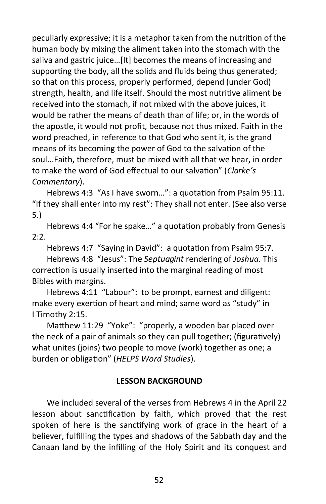peculiarly expressive; it is a metaphor taken from the nutrition of the human body by mixing the aliment taken into the stomach with the saliva and gastric juice…[It] becomes the means of increasing and supporting the body, all the solids and fluids being thus generated; so that on this process, properly performed, depend (under God) strength, health, and life itself. Should the most nutritive aliment be received into the stomach, if not mixed with the above juices, it would be rather the means of death than of life; or, in the words of the apostle, it would not profit, because not thus mixed. Faith in the word preached, in reference to that God who sent it, is the grand means of its becoming the power of God to the salvation of the soul...Faith, therefore, must be mixed with all that we hear, in order to make the word of God effectual to our salvation" (*Clarke's Commentary*).

Hebrews 4:3 "As I have sworn…": a quotation from Psalm 95:11. "If they shall enter into my rest": They shall not enter. (See also verse 5.)

Hebrews 4:4 "For he spake…" a quotation probably from Genesis  $2:2.$ 

Hebrews 4:7 "Saying in David": a quotation from Psalm 95:7. Hebrews 4:8 "Jesus": The *Septuagint* rendering of *Joshua*. This correction is usually inserted into the marginal reading of most Bibles with margins.

Hebrews 4:11 "Labour": to be prompt, earnest and diligent: make every exertion of heart and mind; same word as "study" in I Timothy 2:15.

Matthew 11:29 "Yoke": "properly, a wooden bar placed over the neck of a pair of animals so they can pull together; (figuratively) what unites (joins) two people to move (work) together as one; a burden or obligation" (*HELPS Word Studies*).

# **LESSON BACKGROUND**

We included several of the verses from Hebrews 4 in the April 22 lesson about sanctification by faith, which proved that the rest spoken of here is the sanctifying work of grace in the heart of a believer, fulfilling the types and shadows of the Sabbath day and the Canaan land by the infilling of the Holy Spirit and its conquest and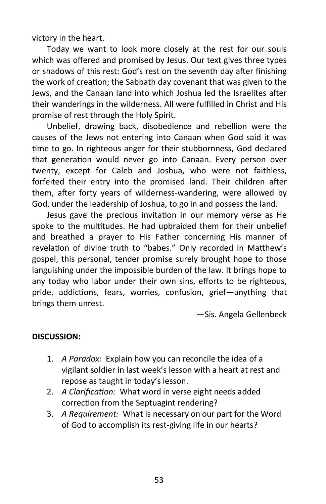victory in the heart.

Today we want to look more closely at the rest for our souls which was offered and promised by Jesus. Our text gives three types or shadows of this rest: God's rest on the seventh day after finishing the work of creation; the Sabbath day covenant that was given to the Jews, and the Canaan land into which Joshua led the Israelites after their wanderings in the wilderness. All were fulfilled in Christ and His promise of rest through the Holy Spirit.

Unbelief, drawing back, disobedience and rebellion were the causes of the Jews not entering into Canaan when God said it was time to go. In righteous anger for their stubbornness, God declared that generation would never go into Canaan. Every person over twenty, except for Caleb and Joshua, who were not faithless, forfeited their entry into the promised land. Their children after them, after forty years of wilderness-wandering, were allowed by God, under the leadership of Joshua, to go in and possess the land.

Jesus gave the precious invitation in our memory verse as He spoke to the multitudes. He had upbraided them for their unbelief and breathed a prayer to His Father concerning His manner of revelation of divine truth to "babes." Only recorded in Matthew's gospel, this personal, tender promise surely brought hope to those languishing under the impossible burden of the law. It brings hope to any today who labor under their own sins, efforts to be righteous, pride, addictions, fears, worries, confusion, grief—anything that brings them unrest.

—Sis. Angela Gellenbeck

# **DISCUSSION:**

- 1. *A Paradox:* Explain how you can reconcile the idea of a vigilant soldier in last week's lesson with a heart at rest and repose as taught in today's lesson.
- 2. *A Clarification:* What word in verse eight needs added correction from the Septuagint rendering?
- 3. *A Requirement:* What is necessary on our part for the Word of God to accomplish its rest-giving life in our hearts?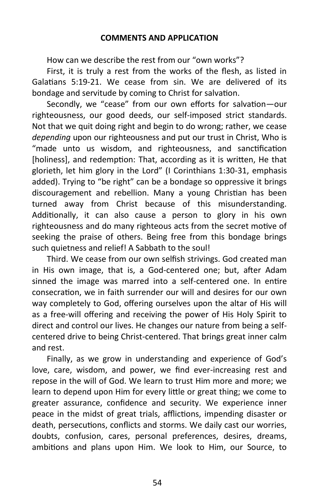How can we describe the rest from our "own works"?

First, it is truly a rest from the works of the flesh, as listed in Galatians 5:19-21. We cease from sin. We are delivered of its bondage and servitude by coming to Christ for salvation.

Secondly, we "cease" from our own efforts for salvation—our righteousness, our good deeds, our self-imposed strict standards. Not that we quit doing right and begin to do wrong; rather, we cease *depending* upon our righteousness and put our trust in Christ, Who is "made unto us wisdom, and righteousness, and sanctification [holiness], and redemption: That, according as it is written, He that glorieth, let him glory in the Lord" (I Corinthians 1:30-31, emphasis added). Trying to "be right" can be a bondage so oppressive it brings discouragement and rebellion. Many a young Christian has been turned away from Christ because of this misunderstanding. Additionally, it can also cause a person to glory in his own righteousness and do many righteous acts from the secret motive of seeking the praise of others. Being free from this bondage brings such quietness and relief! A Sabbath to the soul!

Third. We cease from our own selfish strivings. God created man in His own image, that is, a God-centered one; but, after Adam sinned the image was marred into a self-centered one. In entire consecration, we in faith surrender our will and desires for our own way completely to God, offering ourselves upon the altar of His will as a free-will offering and receiving the power of His Holy Spirit to direct and control our lives. He changes our nature from being a selfcentered drive to being Christ-centered. That brings great inner calm and rest.

Finally, as we grow in understanding and experience of God's love, care, wisdom, and power, we find ever-increasing rest and repose in the will of God. We learn to trust Him more and more; we learn to depend upon Him for every little or great thing; we come to greater assurance, confidence and security. We experience inner peace in the midst of great trials, afflictions, impending disaster or death, persecutions, conflicts and storms. We daily cast our worries, doubts, confusion, cares, personal preferences, desires, dreams, ambitions and plans upon Him. We look to Him, our Source, to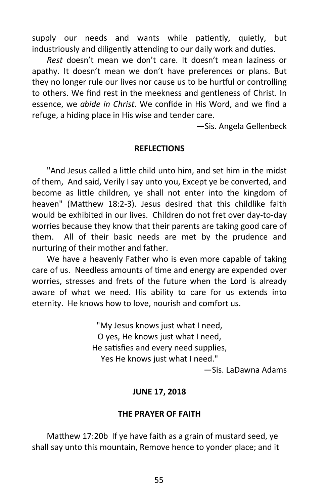supply our needs and wants while patiently, quietly, but industriously and diligently attending to our daily work and duties.

*Rest* doesn't mean we don't care. It doesn't mean laziness or apathy. It doesn't mean we don't have preferences or plans. But they no longer rule our lives nor cause us to be hurtful or controlling to others. We find rest in the meekness and gentleness of Christ. In essence, we *abide in Christ*. We confide in His Word, and we find a refuge, a hiding place in His wise and tender care.

—Sis. Angela Gellenbeck

#### **REFLECTIONS**

"And Jesus called a little child unto him, and set him in the midst of them, And said, Verily I say unto you, Except ye be converted, and become as little children, ye shall not enter into the kingdom of heaven" (Matthew 18:2-3). Jesus desired that this childlike faith would be exhibited in our lives. Children do not fret over day-to-day worries because they know that their parents are taking good care of them. All of their basic needs are met by the prudence and nurturing of their mother and father.

We have a heavenly Father who is even more capable of taking care of us. Needless amounts of time and energy are expended over worries, stresses and frets of the future when the Lord is already aware of what we need. His ability to care for us extends into eternity. He knows how to love, nourish and comfort us.

> "My Jesus knows just what I need, O yes, He knows just what I need, He satisfies and every need supplies, Yes He knows just what I need."

> > —Sis. LaDawna Adams

#### **JUNE 17, 2018**

#### **THE PRAYER OF FAITH**

Matthew 17:20b If ye have faith as a grain of mustard seed, ye shall say unto this mountain, Remove hence to yonder place; and it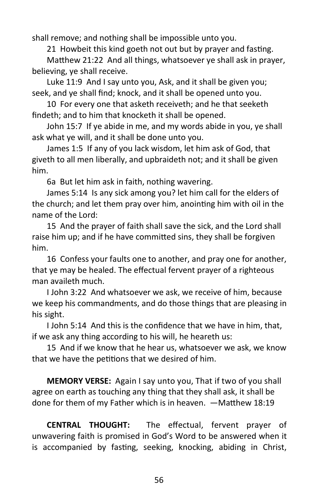shall remove; and nothing shall be impossible unto you.

21 Howbeit this kind goeth not out but by prayer and fasting.

Matthew 21:22 And all things, whatsoever ye shall ask in prayer, believing, ye shall receive.

Luke 11:9 And I say unto you, Ask, and it shall be given you; seek, and ye shall find; knock, and it shall be opened unto you.

10 For every one that asketh receiveth; and he that seeketh findeth; and to him that knocketh it shall be opened.

John 15:7 If ye abide in me, and my words abide in you, ye shall ask what ye will, and it shall be done unto you.

James 1:5 If any of you lack wisdom, let him ask of God, that giveth to all men liberally, and upbraideth not; and it shall be given him.

6a But let him ask in faith, nothing wavering.

James 5:14 Is any sick among you? let him call for the elders of the church; and let them pray over him, anointing him with oil in the name of the Lord:

15 And the prayer of faith shall save the sick, and the Lord shall raise him up; and if he have committed sins, they shall be forgiven him.

16 Confess your faults one to another, and pray one for another, that ye may be healed. The effectual fervent prayer of a righteous man availeth much.

I John 3:22 And whatsoever we ask, we receive of him, because we keep his commandments, and do those things that are pleasing in his sight.

I John 5:14 And this is the confidence that we have in him, that, if we ask any thing according to his will, he heareth us:

15 And if we know that he hear us, whatsoever we ask, we know that we have the petitions that we desired of him.

**MEMORY VERSE:** Again I say unto you, That if two of you shall agree on earth as touching any thing that they shall ask, it shall be done for them of my Father which is in heaven. —Matthew 18:19

**CENTRAL THOUGHT:** The effectual, fervent prayer of unwavering faith is promised in God's Word to be answered when it is accompanied by fasting, seeking, knocking, abiding in Christ,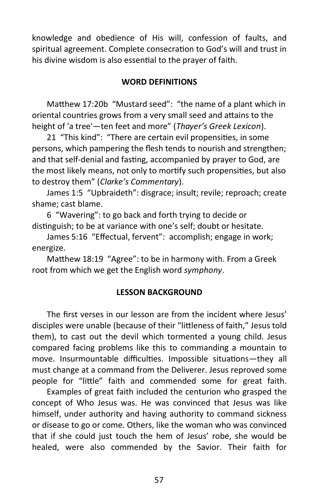knowledge and obedience of His will, confession of faults, and spiritual agreement. Complete consecration to God's will and trust in his divine wisdom is also essential to the prayer of faith.

# **WORD DEFINITIONS**

Matthew 17:20b "Mustard seed": "the name of a plant which in oriental countries grows from a very small seed and attains to the height of 'a tree'—ten feet and more" (*Thayer's Greek Lexicon*).

21 "This kind": "There are certain evil propensities, in some persons, which pampering the flesh tends to nourish and strengthen; and that self-denial and fasting, accompanied by prayer to God, are the most likely means, not only to mortify such propensities, but also to destroy them" (*Clarke's Commentary*).

James 1:5 "Upbraideth": disgrace; insult; revile; reproach; create shame; cast blame.

6 "Wavering": to go back and forth trying to decide or distinguish; to be at variance with one's self; doubt or hesitate.

James 5:16 "Effectual, fervent": accomplish; engage in work; energize.

Matthew 18:19 "Agree": to be in harmony with. From a Greek root from which we get the English word *symphony*.

### **LESSON BACKGROUND**

The first verses in our lesson are from the incident where Jesus' disciples were unable (because of their "littleness of faith," Jesus told them), to cast out the devil which tormented a young child. Jesus compared facing problems like this to commanding a mountain to move. Insurmountable difficulties. Impossible situations—they all must change at a command from the Deliverer. Jesus reproved some people for "little" faith and commended some for great faith.

Examples of great faith included the centurion who grasped the concept of Who Jesus was. He was convinced that Jesus was like himself, under authority and having authority to command sickness or disease to go or come. Others, like the woman who was convinced that if she could just touch the hem of Jesus' robe, she would be healed, were also commended by the Savior. Their faith for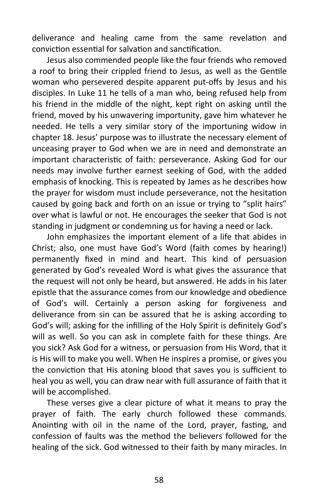deliverance and healing came from the same revelation and conviction essential for salvation and sanctification.

Jesus also commended people like the four friends who removed a roof to bring their crippled friend to Jesus, as well as the Gentile woman who persevered despite apparent put-offs by Jesus and his disciples. In Luke 11 he tells of a man who, being refused help from his friend in the middle of the night, kept right on asking until the friend, moved by his unwavering importunity, gave him whatever he needed. He tells a very similar story of the importuning widow in chapter 18. Jesus' purpose was to illustrate the necessary element of unceasing prayer to God when we are in need and demonstrate an important characteristic of faith: perseverance. Asking God for our needs may involve further earnest seeking of God, with the added emphasis of knocking. This is repeated by James as he describes how the prayer for wisdom must include perseverance, not the hesitation caused by going back and forth on an issue or trying to "split hairs" over what is lawful or not. He encourages the seeker that God is not standing in judgment or condemning us for having a need or lack.

John emphasizes the important element of a life that abides in Christ; also, one must have God's Word (faith comes by hearing!) permanently fixed in mind and heart. This kind of persuasion generated by God's revealed Word is what gives the assurance that the request will not only be heard, but answered. He adds in his later epistle that the assurance comes from our knowledge and obedience of God's will. Certainly a person asking for forgiveness and deliverance from sin can be assured that he is asking according to God's will; asking for the infilling of the Holy Spirit is definitely God's will as well. So you can ask in complete faith for these things. Are you sick? Ask God for a witness, or persuasion from His Word, that it is His will to make you well. When He inspires a promise, or gives you the conviction that His atoning blood that saves you is sufficient to heal you as well, you can draw near with full assurance of faith that it will be accomplished.

These verses give a clear picture of what it means to pray the prayer of faith. The early church followed these commands. Anointing with oil in the name of the Lord, prayer, fasting, and confession of faults was the method the believers followed for the healing of the sick. God witnessed to their faith by many miracles. In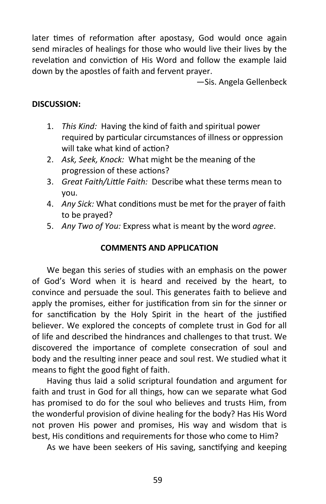later times of reformation after apostasy, God would once again send miracles of healings for those who would live their lives by the revelation and conviction of His Word and follow the example laid down by the apostles of faith and fervent prayer.

—Sis. Angela Gellenbeck

# **DISCUSSION:**

- 1. *This Kind:* Having the kind of faith and spiritual power required by particular circumstances of illness or oppression will take what kind of action?
- 2. *Ask, Seek, Knock:* What might be the meaning of the progression of these actions?
- 3. *Great Faith/Little Faith:* Describe what these terms mean to you.
- 4. *Any Sick:* What conditions must be met for the prayer of faith to be prayed?
- 5. *Any Two of You:* Express what is meant by the word *agree*.

# **COMMENTS AND APPLICATION**

We began this series of studies with an emphasis on the power of God's Word when it is heard and received by the heart, to convince and persuade the soul. This generates faith to believe and apply the promises, either for justification from sin for the sinner or for sanctification by the Holy Spirit in the heart of the justified believer. We explored the concepts of complete trust in God for all of life and described the hindrances and challenges to that trust. We discovered the importance of complete consecration of soul and body and the resulting inner peace and soul rest. We studied what it means to fight the good fight of faith.

Having thus laid a solid scriptural foundation and argument for faith and trust in God for all things, how can we separate what God has promised to do for the soul who believes and trusts Him, from the wonderful provision of divine healing for the body? Has His Word not proven His power and promises, His way and wisdom that is best, His conditions and requirements for those who come to Him?

As we have been seekers of His saving, sanctifying and keeping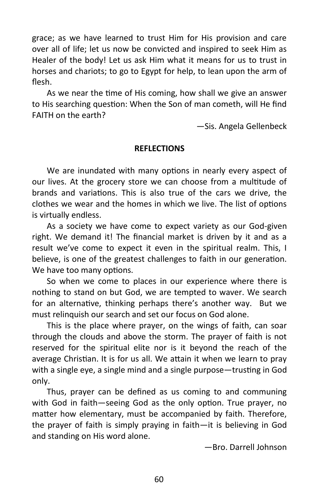grace; as we have learned to trust Him for His provision and care over all of life; let us now be convicted and inspired to seek Him as Healer of the body! Let us ask Him what it means for us to trust in horses and chariots; to go to Egypt for help, to lean upon the arm of flesh.

As we near the time of His coming, how shall we give an answer to His searching question: When the Son of man cometh, will He find FAITH on the earth?

—Sis. Angela Gellenbeck

# **REFLECTIONS**

We are inundated with many options in nearly every aspect of our lives. At the grocery store we can choose from a multitude of brands and variations. This is also true of the cars we drive, the clothes we wear and the homes in which we live. The list of options is virtually endless.

As a society we have come to expect variety as our God-given right. We demand it! The financial market is driven by it and as a result we've come to expect it even in the spiritual realm. This, I believe, is one of the greatest challenges to faith in our generation. We have too many options.

So when we come to places in our experience where there is nothing to stand on but God, we are tempted to waver. We search for an alternative, thinking perhaps there's another way. But we must relinquish our search and set our focus on God alone.

This is the place where prayer, on the wings of faith, can soar through the clouds and above the storm. The prayer of faith is not reserved for the spiritual elite nor is it beyond the reach of the average Christian. It is for us all. We attain it when we learn to pray with a single eye, a single mind and a single purpose—trusting in God only.

Thus, prayer can be defined as us coming to and communing with God in faith—seeing God as the only option. True prayer, no matter how elementary, must be accompanied by faith. Therefore, the prayer of faith is simply praying in faith—it is believing in God and standing on His word alone.

—Bro. Darrell Johnson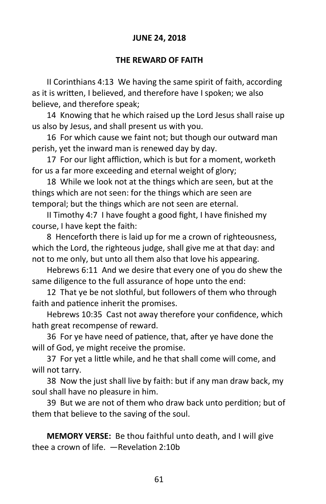# **JUNE 24, 2018**

# **THE REWARD OF FAITH**

II Corinthians 4:13 We having the same spirit of faith, according as it is written, I believed, and therefore have I spoken; we also believe, and therefore speak;

14 Knowing that he which raised up the Lord Jesus shall raise up us also by Jesus, and shall present us with you.

16 For which cause we faint not; but though our outward man perish, yet the inward man is renewed day by day.

17 For our light affliction, which is but for a moment, worketh for us a far more exceeding and eternal weight of glory;

18 While we look not at the things which are seen, but at the things which are not seen: for the things which are seen are temporal; but the things which are not seen are eternal.

II Timothy 4:7 I have fought a good fight, I have finished my course, I have kept the faith:

8 Henceforth there is laid up for me a crown of righteousness, which the Lord, the righteous judge, shall give me at that day: and not to me only, but unto all them also that love his appearing.

Hebrews 6:11 And we desire that every one of you do shew the same diligence to the full assurance of hope unto the end:

12 That ye be not slothful, but followers of them who through faith and patience inherit the promises.

Hebrews 10:35 Cast not away therefore your confidence, which hath great recompense of reward.

36 For ye have need of patience, that, after ye have done the will of God, ye might receive the promise.

37 For yet a little while, and he that shall come will come, and will not tarry.

38 Now the just shall live by faith: but if any man draw back, my soul shall have no pleasure in him.

39 But we are not of them who draw back unto perdition; but of them that believe to the saving of the soul.

**MEMORY VERSE:** Be thou faithful unto death, and I will give thee a crown of life. —Revelation 2:10b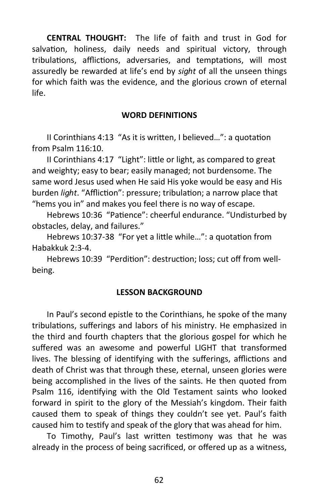**CENTRAL THOUGHT:** The life of faith and trust in God for salvation, holiness, daily needs and spiritual victory, through tribulations, afflictions, adversaries, and temptations, will most assuredly be rewarded at life's end by *sight* of all the unseen things for which faith was the evidence, and the glorious crown of eternal life.

#### **WORD DEFINITIONS**

II Corinthians 4:13 "As it is written, I believed…": a quotation from Psalm 116:10.

II Corinthians 4:17 "Light": little or light, as compared to great and weighty; easy to bear; easily managed; not burdensome. The same word Jesus used when He said His yoke would be easy and His burden *light*. "Affliction": pressure; tribulation; a narrow place that "hems you in" and makes you feel there is no way of escape.

Hebrews 10:36 "Patience": cheerful endurance. "Undisturbed by obstacles, delay, and failures."

Hebrews 10:37-38 "For yet a little while…": a quotation from Habakkuk 2:3-4.

Hebrews 10:39 "Perdition": destruction; loss; cut off from wellbeing.

#### **LESSON BACKGROUND**

In Paul's second epistle to the Corinthians, he spoke of the many tribulations, sufferings and labors of his ministry. He emphasized in the third and fourth chapters that the glorious gospel for which he suffered was an awesome and powerful LIGHT that transformed lives. The blessing of identifying with the sufferings, afflictions and death of Christ was that through these, eternal, unseen glories were being accomplished in the lives of the saints. He then quoted from Psalm 116, identifying with the Old Testament saints who looked forward in spirit to the glory of the Messiah's kingdom. Their faith caused them to speak of things they couldn't see yet. Paul's faith caused him to testify and speak of the glory that was ahead for him.

To Timothy, Paul's last written testimony was that he was already in the process of being sacrificed, or offered up as a witness,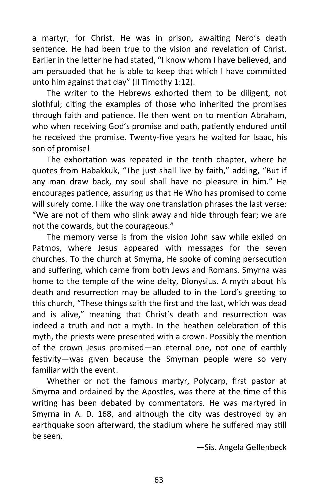a martyr, for Christ. He was in prison, awaiting Nero's death sentence. He had been true to the vision and revelation of Christ. Earlier in the letter he had stated, "I know whom I have believed, and am persuaded that he is able to keep that which I have committed unto him against that day" (II Timothy 1:12).

The writer to the Hebrews exhorted them to be diligent, not slothful; citing the examples of those who inherited the promises through faith and patience. He then went on to mention Abraham, who when receiving God's promise and oath, patiently endured until he received the promise. Twenty-five years he waited for Isaac, his son of promise!

The exhortation was repeated in the tenth chapter, where he quotes from Habakkuk, "The just shall live by faith," adding, "But if any man draw back, my soul shall have no pleasure in him." He encourages patience, assuring us that He Who has promised to come will surely come. I like the way one translation phrases the last verse: "We are not of them who slink away and hide through fear; we are not the cowards, but the courageous."

The memory verse is from the vision John saw while exiled on Patmos, where Jesus appeared with messages for the seven churches. To the church at Smyrna, He spoke of coming persecution and suffering, which came from both Jews and Romans. Smyrna was home to the temple of the wine deity, Dionysius. A myth about his death and resurrection may be alluded to in the Lord's greeting to this church, "These things saith the first and the last, which was dead and is alive," meaning that Christ's death and resurrection was indeed a truth and not a myth. In the heathen celebration of this myth, the priests were presented with a crown. Possibly the mention of the crown Jesus promised—an eternal one, not one of earthly festivity—was given because the Smyrnan people were so very familiar with the event.

Whether or not the famous martyr, Polycarp, first pastor at Smyrna and ordained by the Apostles, was there at the time of this writing has been debated by commentators. He was martyred in Smyrna in A. D. 168, and although the city was destroyed by an earthquake soon afterward, the stadium where he suffered may still be seen.

—Sis. Angela Gellenbeck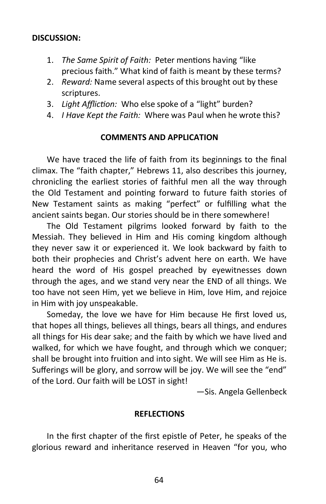# **DISCUSSION:**

- 1. *The Same Spirit of Faith:* Peter mentions having "like precious faith." What kind of faith is meant by these terms?
- 2. *Reward:* Name several aspects of this brought out by these scriptures.
- 3. *Light Affliction:* Who else spoke of a "light" burden?
- 4. *I Have Kept the Faith:* Where was Paul when he wrote this?

#### **COMMENTS AND APPLICATION**

We have traced the life of faith from its beginnings to the final climax. The "faith chapter," Hebrews 11, also describes this journey, chronicling the earliest stories of faithful men all the way through the Old Testament and pointing forward to future faith stories of New Testament saints as making "perfect" or fulfilling what the ancient saints began. Our stories should be in there somewhere!

The Old Testament pilgrims looked forward by faith to the Messiah. They believed in Him and His coming kingdom although they never saw it or experienced it. We look backward by faith to both their prophecies and Christ's advent here on earth. We have heard the word of His gospel preached by eyewitnesses down through the ages, and we stand very near the END of all things. We too have not seen Him, yet we believe in Him, love Him, and rejoice in Him with joy unspeakable.

Someday, the love we have for Him because He first loved us, that hopes all things, believes all things, bears all things, and endures all things for His dear sake; and the faith by which we have lived and walked, for which we have fought, and through which we conquer; shall be brought into fruition and into sight. We will see Him as He is. Sufferings will be glory, and sorrow will be joy. We will see the "end" of the Lord. Our faith will be LOST in sight!

—Sis. Angela Gellenbeck

#### **REFLECTIONS**

In the first chapter of the first epistle of Peter, he speaks of the glorious reward and inheritance reserved in Heaven "for you, who